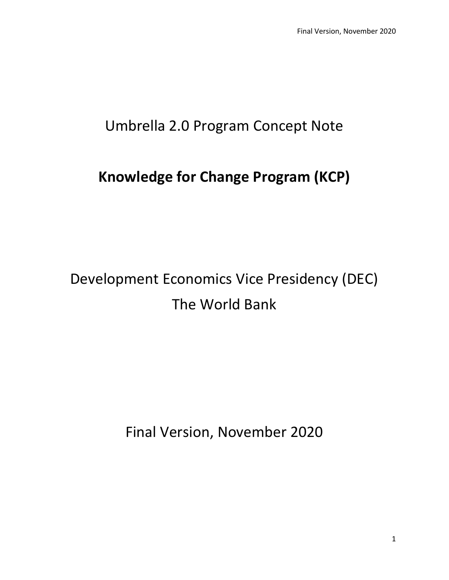## Umbrella 2.0 Program Concept Note

## **Knowledge for Change Program (KCP)**

# Development Economics Vice Presidency (DEC) The World Bank

Final Version, November 2020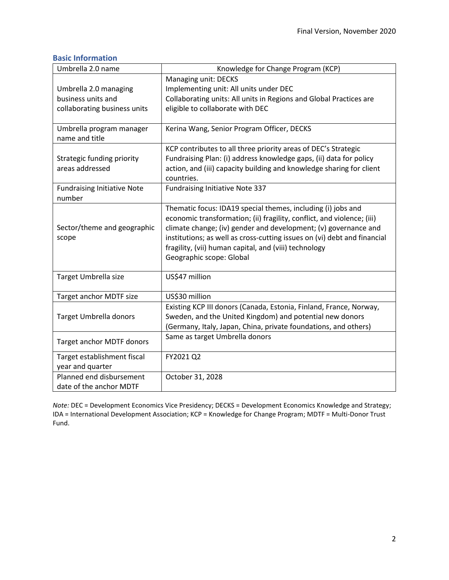### <span id="page-1-0"></span>**Basic Information**

| Umbrella 2.0 name                          | Knowledge for Change Program (KCP)                                       |
|--------------------------------------------|--------------------------------------------------------------------------|
|                                            | Managing unit: DECKS                                                     |
| Umbrella 2.0 managing                      | Implementing unit: All units under DEC                                   |
| business units and                         | Collaborating units: All units in Regions and Global Practices are       |
| collaborating business units               | eligible to collaborate with DEC                                         |
|                                            |                                                                          |
| Umbrella program manager<br>name and title | Kerina Wang, Senior Program Officer, DECKS                               |
|                                            | KCP contributes to all three priority areas of DEC's Strategic           |
| Strategic funding priority                 | Fundraising Plan: (i) address knowledge gaps, (ii) data for policy       |
| areas addressed                            | action, and (iii) capacity building and knowledge sharing for client     |
|                                            | countries.                                                               |
| <b>Fundraising Initiative Note</b>         | <b>Fundraising Initiative Note 337</b>                                   |
| number                                     |                                                                          |
|                                            | Thematic focus: IDA19 special themes, including (i) jobs and             |
|                                            | economic transformation; (ii) fragility, conflict, and violence; (iii)   |
| Sector/theme and geographic                | climate change; (iv) gender and development; (v) governance and          |
| scope                                      | institutions; as well as cross-cutting issues on (vi) debt and financial |
|                                            | fragility, (vii) human capital, and (viii) technology                    |
|                                            | Geographic scope: Global                                                 |
| Target Umbrella size                       | US\$47 million                                                           |
|                                            |                                                                          |
| Target anchor MDTF size                    | US\$30 million                                                           |
|                                            | Existing KCP III donors (Canada, Estonia, Finland, France, Norway,       |
| Target Umbrella donors                     | Sweden, and the United Kingdom) and potential new donors                 |
|                                            | (Germany, Italy, Japan, China, private foundations, and others)          |
| Target anchor MDTF donors                  | Same as target Umbrella donors                                           |
| Target establishment fiscal                | FY2021 Q2                                                                |
| year and quarter                           |                                                                          |
| Planned end disbursement                   | October 31, 2028                                                         |
| date of the anchor MDTF                    |                                                                          |

*Note:* DEC = Development Economics Vice Presidency; DECKS = Development Economics Knowledge and Strategy; IDA = International Development Association; KCP = Knowledge for Change Program; MDTF = Multi-Donor Trust Fund.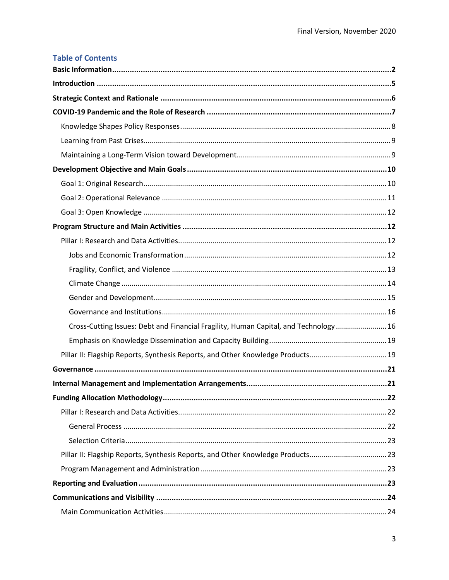| <b>Table of Contents</b>                                                              |  |
|---------------------------------------------------------------------------------------|--|
|                                                                                       |  |
|                                                                                       |  |
|                                                                                       |  |
|                                                                                       |  |
|                                                                                       |  |
|                                                                                       |  |
|                                                                                       |  |
|                                                                                       |  |
|                                                                                       |  |
|                                                                                       |  |
|                                                                                       |  |
|                                                                                       |  |
|                                                                                       |  |
|                                                                                       |  |
|                                                                                       |  |
|                                                                                       |  |
|                                                                                       |  |
|                                                                                       |  |
| Cross-Cutting Issues: Debt and Financial Fragility, Human Capital, and Technology  16 |  |
|                                                                                       |  |
| Pillar II: Flagship Reports, Synthesis Reports, and Other Knowledge Products 19       |  |
|                                                                                       |  |
|                                                                                       |  |
|                                                                                       |  |
|                                                                                       |  |
|                                                                                       |  |
|                                                                                       |  |
| Pillar II: Flagship Reports, Synthesis Reports, and Other Knowledge Products23        |  |
|                                                                                       |  |
|                                                                                       |  |
|                                                                                       |  |
|                                                                                       |  |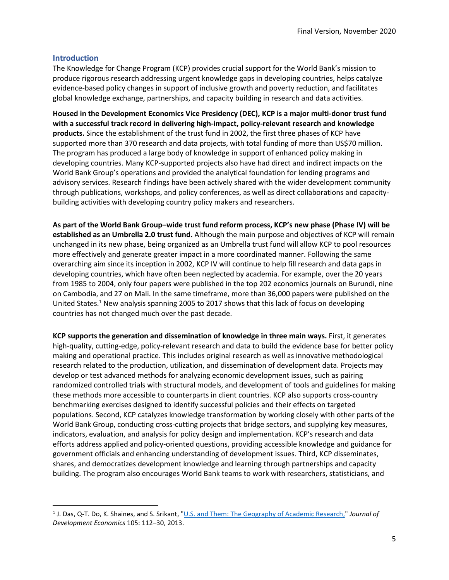#### <span id="page-4-0"></span>**Introduction**

The Knowledge for Change Program (KCP) provides crucial support for the World Bank's mission to produce rigorous research addressing urgent knowledge gaps in developing countries, helps catalyze evidence-based policy changes in support of inclusive growth and poverty reduction, and facilitates global knowledge exchange, partnerships, and capacity building in research and data activities.

**Housed in the Development Economics Vice Presidency (DEC), KCP is a major multi-donor trust fund with a successful track record in delivering high-impact, policy-relevant research and knowledge products.** Since the establishment of the trust fund in 2002, the first three phases of KCP have supported more than 370 research and data projects, with total funding of more than US\$70 million. The program has produced a large body of knowledge in support of enhanced policy making in developing countries. Many KCP-supported projects also have had direct and indirect impacts on the World Bank Group's operations and provided the analytical foundation for lending programs and advisory services. Research findings have been actively shared with the wider development community through publications, workshops, and policy conferences, as well as direct collaborations and capacitybuilding activities with developing country policy makers and researchers.

**As part of the World Bank Group–wide trust fund reform process, KCP's new phase (Phase IV) will be established as an Umbrella 2.0 trust fund.** Although the main purpose and objectives of KCP will remain unchanged in its new phase, being organized as an Umbrella trust fund will allow KCP to pool resources more effectively and generate greater impact in a more coordinated manner. Following the same overarching aim since its inception in 2002, KCP IV will continue to help fill research and data gaps in developing countries, which have often been neglected by academia. For example, over the 20 years from 1985 to 2004, only four papers were published in the top 202 economics journals on Burundi, nine on Cambodia, and 27 on Mali. In the same timeframe, more than 36,000 papers were published on the United States.<sup>1</sup> New analysis spanning 2005 to 2017 shows that this lack of focus on developing countries has not changed much over the past decade.

**KCP supports the generation and dissemination of knowledge in three main ways.** First, it generates high-quality, cutting-edge, policy-relevant research and data to build the evidence base for better policy making and operational practice. This includes original research as well as innovative methodological research related to the production, utilization, and dissemination of development data. Projects may develop or test advanced methods for analyzing economic development issues, such as pairing randomized controlled trials with structural models, and development of tools and guidelines for making these methods more accessible to counterparts in client countries. KCP also supports cross-country benchmarking exercises designed to identify successful policies and their effects on targeted populations. Second, KCP catalyzes knowledge transformation by working closely with other parts of the World Bank Group, conducting cross-cutting projects that bridge sectors, and supplying key measures, indicators, evaluation, and analysis for policy design and implementation. KCP's research and data efforts address applied and policy-oriented questions, providing accessible knowledge and guidance for government officials and enhancing understanding of development issues. Third, KCP disseminates, shares, and democratizes development knowledge and learning through partnerships and capacity building. The program also encourages World Bank teams to work with researchers, statisticians, and

<sup>&</sup>lt;sup>1</sup> J. Das, Q-T. Do, K. Shaines, and S. Srikant, "<u>U.S. and Them: The Geography of Academic Research,</u>" Journal of *Development Economics* 105: 112–30, 2013.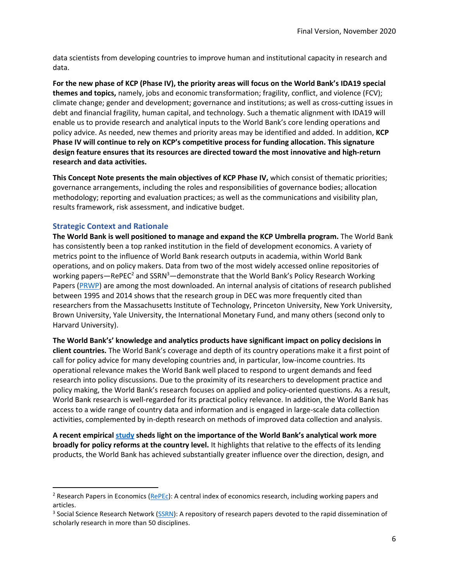data scientists from developing countries to improve human and institutional capacity in research and data.

**For the new phase of KCP (Phase IV), the priority areas will focus on the World Bank's IDA19 special themes and topics,** namely, jobs and economic transformation; fragility, conflict, and violence (FCV); climate change; gender and development; governance and institutions; as well as cross-cutting issues in debt and financial fragility, human capital, and technology. Such a thematic alignment with IDA19 will enable us to provide research and analytical inputs to the World Bank's core lending operations and policy advice. As needed, new themes and priority areas may be identified and added. In addition, **KCP Phase IV will continue to rely on KCP's competitive process for funding allocation. This signature design feature ensures that its resources are directed toward the most innovative and high-return research and data activities.** 

**This Concept Note presents the main objectives of KCP Phase IV,** which consist of thematic priorities; governance arrangements, including the roles and responsibilities of governance bodies; allocation methodology; reporting and evaluation practices; as well as the communications and visibility plan, results framework, risk assessment, and indicative budget.

#### <span id="page-5-0"></span>**Strategic Context and Rationale**

**The World Bank is well positioned to manage and expand the KCP Umbrella program.** The World Bank has consistently been a top ranked institution in the field of development economics. A variety of metrics point to the influence of World Bank research outputs in academia, within World Bank operations, and on policy makers. Data from two of the most widely accessed online repositories of working papers—RePEC<sup>2</sup> and SSRN<sup>3</sup>—demonstrate that the World Bank's Policy Research Working Papers [\(PRWP\)](https://www.worldbank.org/en/research/brief/world-bank-policy-research-working-papers#:~:text=The%20World%20Bank%20Policy%20Research,applicability%20across%20countries%20or%20sectors.) are among the most downloaded. An internal analysis of citations of research published between 1995 and 2014 shows that the research group in DEC was more frequently cited than researchers from the Massachusetts Institute of Technology, Princeton University, New York University, Brown University, Yale University, the International Monetary Fund, and many others (second only to Harvard University).

**The World Bank's' knowledge and analytics products have significant impact on policy decisions in client countries.** The World Bank's coverage and depth of its country operations make it a first point of call for policy advice for many developing countries and, in particular, low-income countries. Its operational relevance makes the World Bank well placed to respond to urgent demands and feed research into policy discussions. Due to the proximity of its researchers to development practice and policy making, the World Bank's research focuses on applied and policy-oriented questions. As a result, World Bank research is well-regarded for its practical policy relevance. In addition, the World Bank has access to a wide range of country data and information and is engaged in large-scale data collection activities, complemented by in-depth research on methods of improved data collection and analysis.

**A recent empirical [study](http://documents.worldbank.org/curated/en/852751588260919707/pdf/How-Does-the-World-Bank-Influence-the-Development-Policy-Priorities-of-Low-Income-and-Lower-Middle-Income-Countries.pdf) sheds light on the importance of the World Bank's analytical work more broadly for policy reforms at the country level.** It highlights that relative to the effects of its lending products, the World Bank has achieved substantially greater influence over the direction, design, and

<sup>&</sup>lt;sup>2</sup> Research Papers in Economics ( $R$ ePEc): A central index of economics research, including working papers and articles.

<sup>&</sup>lt;sup>3</sup> Social Science Research Network [\(SSRN\)](https://www.ssrn.com/index.cfm/en/): A repository of research papers devoted to the rapid dissemination of scholarly research in more than 50 disciplines.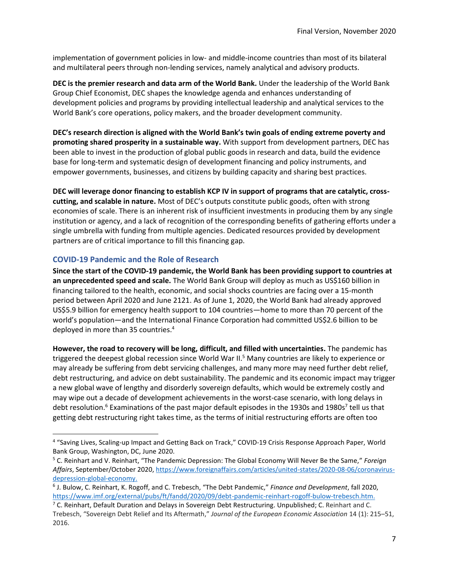implementation of government policies in low- and middle-income countries than most of its bilateral and multilateral peers through non-lending services, namely analytical and advisory products.

**DEC is the premier research and data arm of the World Bank.** Under the leadership of the World Bank Group Chief Economist, DEC shapes the knowledge agenda and enhances understanding of development policies and programs by providing intellectual leadership and analytical services to the World Bank's core operations, policy makers, and the broader development community.

**DEC's research direction is aligned with the World Bank's twin goals of ending extreme poverty and promoting shared prosperity in a sustainable way.** With support from development partners, DEC has been able to invest in the production of global public goods in research and data, build the evidence base for long-term and systematic design of development financing and policy instruments, and empower governments, businesses, and citizens by building capacity and sharing best practices.

**DEC will leverage donor financing to establish KCP IV in support of programs that are catalytic, crosscutting, and scalable in nature.** Most of DEC's outputs constitute public goods, often with strong economies of scale. There is an inherent risk of insufficient investments in producing them by any single institution or agency, and a lack of recognition of the corresponding benefits of gathering efforts under a single umbrella with funding from multiple agencies. Dedicated resources provided by development partners are of critical importance to fill this financing gap.

#### <span id="page-6-0"></span>**COVID-19 Pandemic and the Role of Research**

**Since the start of the COVID-19 pandemic, the World Bank has been providing support to countries at an unprecedented speed and scale.** The World Bank Group will deploy as much as US\$160 billion in financing tailored to the health, economic, and social shocks countries are facing over a 15-month period between April 2020 and June 2121. As of June 1, 2020, the World Bank had already approved US\$5.9 billion for emergency health support to 104 countries—home to more than 70 percent of the world's population—and the International Finance Corporation had committed US\$2.6 billion to be deployed in more than 35 countries. 4

**However, the road to recovery will be long, difficult, and filled with uncertainties.** The pandemic has triggered the deepest global recession since World War II. <sup>5</sup> Many countries are likely to experience or may already be suffering from debt servicing challenges, and many more may need further debt relief, debt restructuring, and advice on debt sustainability. The pandemic and its economic impact may trigger a new global wave of lengthy and disorderly sovereign defaults, which would be extremely costly and may wipe out a decade of development achievements in the worst-case scenario, with long delays in debt resolution.<sup>6</sup> Examinations of the past major default episodes in the 1930s and 1980s<sup>7</sup> tell us that getting debt restructuring right takes time, as the terms of initial restructuring efforts are often too

<sup>&</sup>lt;sup>4</sup> "Saving Lives, Scaling-up Impact and Getting Back on Track," COVID-19 Crisis Response Approach Paper, World Bank Group, Washington, DC, June 2020.

<sup>5</sup> C. Reinhart and V. Reinhart, "The Pandemic Depression: The Global Economy Will Never Be the Same," *Foreign Affairs*, September/October 2020, [https://www.foreignaffairs.com/articles/united-states/2020-08-06/coronavirus](https://www.foreignaffairs.com/articles/united-states/2020-08-06/coronavirus-depression-global-economy)[depression-global-economy.](https://www.foreignaffairs.com/articles/united-states/2020-08-06/coronavirus-depression-global-economy)

<sup>6</sup> J. Bulow, C. Reinhart, K. Rogoff, and C. Trebesch, "The Debt Pandemic," *Finance and Development*, fall 2020, [https://www.imf.org/external/pubs/ft/fandd/2020/09/debt-pandemic-reinhart-rogoff-bulow-trebesch.htm.](https://www.imf.org/external/pubs/ft/fandd/2020/09/debt-pandemic-reinhart-rogoff-bulow-trebesch.htm)

<sup>&</sup>lt;sup>7</sup> C. Reinhart, Default Duration and Delays in Sovereign Debt Restructuring. Unpublished; C. Reinhart and C. Trebesch, "Sovereign Debt Relief and Its Aftermath," *Journal of the European Economic Association* 14 (1): 215–51, 2016.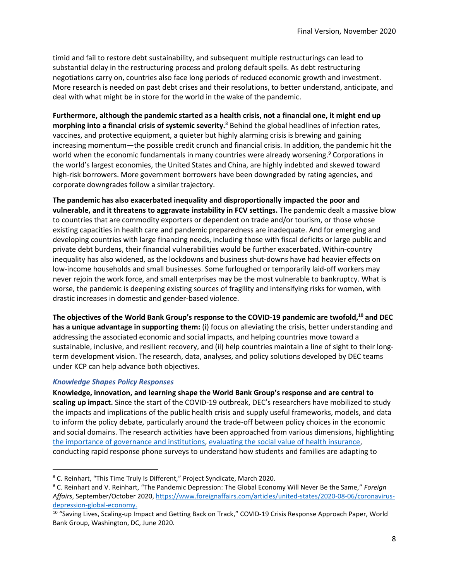timid and fail to restore debt sustainability, and subsequent multiple restructurings can lead to substantial delay in the restructuring process and prolong default spells. As debt restructuring negotiations carry on, countries also face long periods of reduced economic growth and investment. More research is needed on past debt crises and their resolutions, to better understand, anticipate, and deal with what might be in store for the world in the wake of the pandemic.

**Furthermore, although the pandemic started as a health crisis, not a financial one, it might end up morphing into a financial crisis of systemic severity.** <sup>8</sup> Behind the global headlines of infection rates, vaccines, and protective equipment, a quieter but highly alarming crisis is brewing and gaining increasing momentum—the possible credit crunch and financial crisis. In addition, the pandemic hit the world when the economic fundamentals in many countries were already worsening.<sup>9</sup> Corporations in the world's largest economies, the United States and China, are highly indebted and skewed toward high-risk borrowers. More government borrowers have been downgraded by rating agencies, and corporate downgrades follow a similar trajectory.

**The pandemic has also exacerbated inequality and disproportionally impacted the poor and vulnerable, and it threatens to aggravate instability in FCV settings.** The pandemic dealt a massive blow to countries that are commodity exporters or dependent on trade and/or tourism, or those whose existing capacities in health care and pandemic preparedness are inadequate. And for emerging and developing countries with large financing needs, including those with fiscal deficits or large public and private debt burdens, their financial vulnerabilities would be further exacerbated. Within-country inequality has also widened, as the lockdowns and business shut-downs have had heavier effects on low-income households and small businesses. Some furloughed or temporarily laid-off workers may never rejoin the work force, and small enterprises may be the most vulnerable to bankruptcy. What is worse, the pandemic is deepening existing sources of fragility and intensifying risks for women, with drastic increases in domestic and gender-based violence.

**The objectives of the World Bank Group's response to the COVID-19 pandemic are twofold, <sup>10</sup> and DEC has a unique advantage in supporting them:** (i) focus on alleviating the crisis, better understanding and addressing the associated economic and social impacts, and helping countries move toward a sustainable, inclusive, and resilient recovery, and (ii) help countries maintain a line of sight to their longterm development vision. The research, data, analyses, and policy solutions developed by DEC teams under KCP can help advance both objectives.

#### <span id="page-7-0"></span>*Knowledge Shapes Policy Responses*

**Knowledge, innovation, and learning shape the World Bank Group's response and are central to scaling up impact.** Since the start of the COVID-19 outbreak, DEC's researchers have mobilized to study the impacts and implications of the public health crisis and supply useful frameworks, models, and data to inform the policy debate, particularly around the trade-off between policy choices in the economic and social domains. The research activities have been approached from various dimensions, highlighting [the importance of governance and institutions,](https://documents.worldbank.org/en/publication/documents-reports/documentdetail/265361587665344677/strengthening-public-health-systems-policy-ideas-from-a-governance-perspective) [evaluating the social value of health insurance,](http://documents1.worldbank.org/curated/en/715441568214752631/pdf/The-Social-Value-of-Health-Insurance-Results-from-Ghana.pdf) conducting rapid response phone surveys to understand how students and families are adapting to

<sup>8</sup> C. Reinhart, "This Time Truly Is Different," Project Syndicate, March 2020.

<sup>9</sup> C. Reinhart and V. Reinhart, "The Pandemic Depression: The Global Economy Will Never Be the Same," *Foreign Affairs*, September/October 2020, [https://www.foreignaffairs.com/articles/united-states/2020-08-06/coronavirus](https://www.foreignaffairs.com/articles/united-states/2020-08-06/coronavirus-depression-global-economy)[depression-global-economy.](https://www.foreignaffairs.com/articles/united-states/2020-08-06/coronavirus-depression-global-economy)

<sup>&</sup>lt;sup>10</sup> "Saving Lives, Scaling-up Impact and Getting Back on Track," COVID-19 Crisis Response Approach Paper, World Bank Group, Washington, DC, June 2020.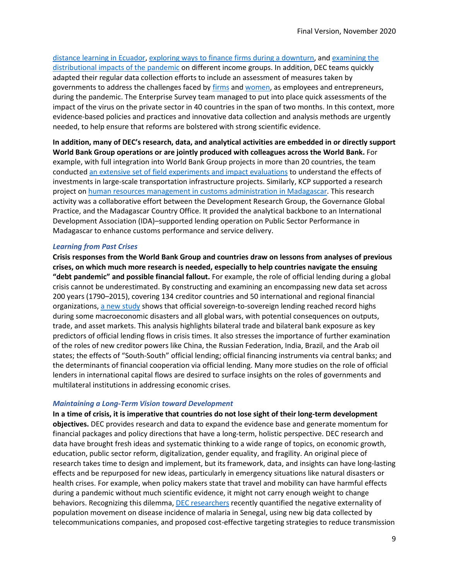[distance learning in Ecuador,](https://documents.worldbank.org/en/publication/documents-reports/documentdetail/328261589899308503/remote-learning-time-use-and-mental-health-of-ecuadorian-high-school-studentsduring-the-covid-19-quarantine) [exploring ways to finance firms during a downturn,](https://documents.worldbank.org/en/publication/documents-reports/documentdetail/818801588952012929/financing-firms-in-hibernation-during-the-covid-19-pandemic) and [examining the](http://ftp.iza.org/dp13352.pdf)  [distributional impacts of the pandemic](http://ftp.iza.org/dp13352.pdf) on different income groups. In addition, DEC teams quickly adapted their regular data collection efforts to include an assessment of measures taken by governments to address the challenges faced by [firms](https://www.doingbusiness.org/content/dam/doingBusiness/pdf/db2020/COVID-db.pdf) an[d women,](http://pubdocs.worldbank.org/en/537451588965533890/WBL-COVID.pdf) as employees and entrepreneurs, during the pandemic. The Enterprise Survey team managed to put into place quick assessments of the impact of the virus on the private sector in 40 countries in the span of two months. In this context, more evidence-based policies and practices and innovative data collection and analysis methods are urgently needed, to help ensure that reforms are bolstered with strong scientific evidence.

**In addition, many of DEC's research, data, and analytical activities are embedded in or directly support World Bank Group operations or are jointly produced with colleagues across the World Bank.** For example, with full integration into World Bank Group projects in more than 20 countries, the team conducted [an extensive set of field experiments and impact evaluations](https://www.worldbank.org/en/research/dime/brief/transport) to understand the effects of investments in large-scale transportation infrastructure projects. Similarly, KCP supported a research project o[n human resources management in customs administration](https://documents.worldbank.org/en/publication/documents-reports/documentdetail/554091590075089654/does-better-information-curb-customs-fraud) in Madagascar. This research activity was a collaborative effort between the Development Research Group, the Governance Global Practice, and the Madagascar Country Office. It provided the analytical backbone to an International Development Association (IDA)–supported lending operation on Public Sector Performance in Madagascar to enhance customs performance and service delivery.

#### <span id="page-8-0"></span>*Learning from Past Crises*

**Crisis responses from the World Bank Group and countries draw on lessons from analyses of previous crises, on which much more research is needed, especially to help countries navigate the ensuing "debt pandemic" and possible financial fallout.** For example, the role of official lending during a global crisis cannot be underestimated. By constructing and examining an encompassing new data set across 200 years (1790–2015), covering 134 creditor countries and 50 international and regional financial organizations[, a new study](https://www.nber.org/papers/w27343) shows that official sovereign-to-sovereign lending reached record highs during some macroeconomic disasters and all global wars, with potential consequences on outputs, trade, and asset markets. This analysis highlights bilateral trade and bilateral bank exposure as key predictors of official lending flows in crisis times. It also stresses the importance of further examination of the roles of new creditor powers like China, the Russian Federation, India, Brazil, and the Arab oil states; the effects of "South-South" official lending; official financing instruments via central banks; and the determinants of financial cooperation via official lending. Many more studies on the role of official lenders in international capital flows are desired to surface insights on the roles of governments and multilateral institutions in addressing economic crises.

#### <span id="page-8-1"></span>*Maintaining a Long-Term Vision toward Development*

**In a time of crisis, it is imperative that countries do not lose sight of their long-term development objectives.** DEC provides research and data to expand the evidence base and generate momentum for financial packages and policy directions that have a long-term, holistic perspective. DEC research and data have brought fresh ideas and systematic thinking to a wide range of topics, on economic growth, education, public sector reform, digitalization, gender equality, and fragility. An original piece of research takes time to design and implement, but its framework, data, and insights can have long-lasting effects and be repurposed for new ideas, particularly in emergency situations like natural disasters or health crises. For example, when policy makers state that travel and mobility can have harmful effects during a pandemic without much scientific evidence, it might not carry enough weight to change behaviors. Recognizing this dilemma, [DEC researchers](http://documents.worldbank.org/curated/en/143411585572411591/pdf/Using-Mobile-Phone-Data-to-Reduce-Spread-of-Disease.pdf) recently quantified the negative externality of population movement on disease incidence of malaria in Senegal, using new big data collected by telecommunications companies, and proposed cost-effective targeting strategies to reduce transmission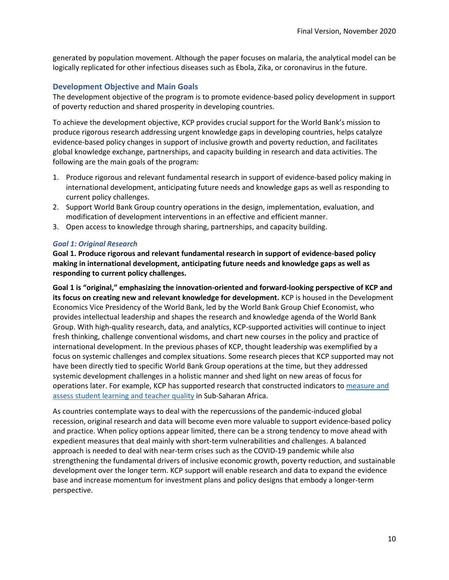generated by population movement. Although the paper focuses on malaria, the analytical model can be logically replicated for other infectious diseases such as Ebola, Zika, or coronavirus in the future.

#### <span id="page-9-0"></span>**Development Objective and Main Goals**

The development objective of the program is to promote evidence-based policy development in support of poverty reduction and shared prosperity in developing countries.

To achieve the development objective, KCP provides crucial support for the World Bank's mission to produce rigorous research addressing urgent knowledge gaps in developing countries, helps catalyze evidence-based policy changes in support of inclusive growth and poverty reduction, and facilitates global knowledge exchange, partnerships, and capacity building in research and data activities. The following are the main goals of the program:

- 1. Produce rigorous and relevant fundamental research in support of evidence-based policy making in international development, anticipating future needs and knowledge gaps as well as responding to current policy challenges.
- 2. Support World Bank Group country operations in the design, implementation, evaluation, and modification of development interventions in an effective and efficient manner.
- 3. Open access to knowledge through sharing, partnerships, and capacity building.

#### <span id="page-9-1"></span>*Goal 1: Original Research*

**Goal 1. Produce rigorous and relevant fundamental research in support of evidence-based policy making in international development, anticipating future needs and knowledge gaps as well as responding to current policy challenges.**

**Goal 1 is "original," emphasizing the innovation-oriented and forward-looking perspective of KCP and its focus on creating new and relevant knowledge for development.** KCP is housed in the Development Economics Vice Presidency of the World Bank, led by the World Bank Group Chief Economist, who provides intellectual leadership and shapes the research and knowledge agenda of the World Bank Group. With high-quality research, data, and analytics, KCP-supported activities will continue to inject fresh thinking, challenge conventional wisdoms, and chart new courses in the policy and practice of international development. In the previous phases of KCP, thought leadership was exemplified by a focus on systemic challenges and complex situations. Some research pieces that KCP supported may not have been directly tied to specific World Bank Group operations at the time, but they addressed systemic development challenges in a holistic manner and shed light on new areas of focus for operations later. For example, KCP has supported research that constructed indicators to [measure and](http://documents1.worldbank.org/curated/en/909001515649925520/pdf/122571-JRN-PUBLIC-Enrollment-without-Learning.pdf)  assess student learning [and teacher quality](http://documents1.worldbank.org/curated/en/909001515649925520/pdf/122571-JRN-PUBLIC-Enrollment-without-Learning.pdf) in Sub-Saharan Africa.

As countries contemplate ways to deal with the repercussions of the pandemic-induced global recession, original research and data will become even more valuable to support evidence-based policy and practice. When policy options appear limited, there can be a strong tendency to move ahead with expedient measures that deal mainly with short-term vulnerabilities and challenges. A balanced approach is needed to deal with near-term crises such as the COVID-19 pandemic while also strengthening the fundamental drivers of inclusive economic growth, poverty reduction, and sustainable development over the longer term. KCP support will enable research and data to expand the evidence base and increase momentum for investment plans and policy designs that embody a longer-term perspective.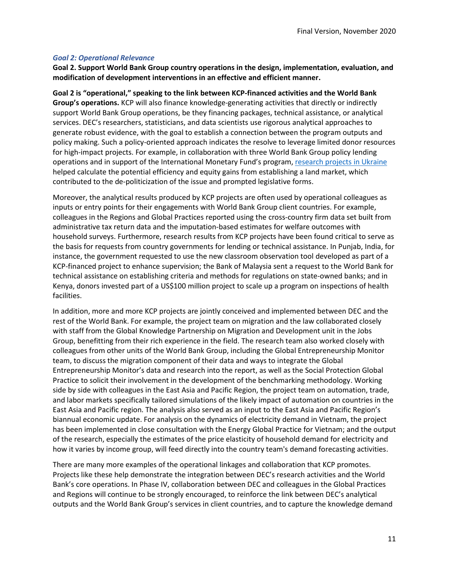#### <span id="page-10-0"></span>*Goal 2: Operational Relevance*

**Goal 2. Support World Bank Group country operations in the design, implementation, evaluation, and modification of development interventions in an effective and efficient manner.**

**Goal 2 is "operational," speaking to the link between KCP-financed activities and the World Bank Group's operations.** KCP will also finance knowledge-generating activities that directly or indirectly support World Bank Group operations, be they financing packages, technical assistance, or analytical services. DEC's researchers, statisticians, and data scientists use rigorous analytical approaches to generate robust evidence, with the goal to establish a connection between the program outputs and policy making. Such a policy-oriented approach indicates the resolve to leverage limited donor resources for high-impact projects. For example, in collaboration with three World Bank Group policy lending operations and in support of the International Monetary Fund's program[, research projects in Ukraine](https://ukraine-landpolicy.com/) helped calculate the potential efficiency and equity gains from establishing a land market, which contributed to the de-politicization of the issue and prompted legislative forms.

Moreover, the analytical results produced by KCP projects are often used by operational colleagues as inputs or entry points for their engagements with World Bank Group client countries. For example, colleagues in the Regions and Global Practices reported using the cross-country firm data set built from administrative tax return data and the imputation-based estimates for welfare outcomes with household surveys. Furthermore, research results from KCP projects have been found critical to serve as the basis for requests from country governments for lending or technical assistance. In Punjab, India, for instance, the government requested to use the new classroom observation tool developed as part of a KCP-financed project to enhance supervision; the Bank of Malaysia sent a request to the World Bank for technical assistance on establishing criteria and methods for regulations on state-owned banks; and in Kenya, donors invested part of a US\$100 million project to scale up a program on inspections of health facilities.

In addition, more and more KCP projects are jointly conceived and implemented between DEC and the rest of the World Bank. For example, the project team on migration and the law collaborated closely with staff from the Global Knowledge Partnership on Migration and Development unit in the Jobs Group, benefitting from their rich experience in the field. The research team also worked closely with colleagues from other units of the World Bank Group, including the Global Entrepreneurship Monitor team, to discuss the migration component of their data and ways to integrate the Global Entrepreneurship Monitor's data and research into the report, as well as the Social Protection Global Practice to solicit their involvement in the development of the benchmarking methodology. Working side by side with colleagues in the East Asia and Pacific Region, the project team on automation, trade, and labor markets specifically tailored simulations of the likely impact of automation on countries in the East Asia and Pacific region. The analysis also served as an input to the East Asia and Pacific Region's biannual economic update. For analysis on the dynamics of electricity demand in Vietnam, the project has been implemented in close consultation with the Energy Global Practice for Vietnam; and the output of the research, especially the estimates of the price elasticity of household demand for electricity and how it varies by income group, will feed directly into the country team's demand forecasting activities.

There are many more examples of the operational linkages and collaboration that KCP promotes. Projects like these help demonstrate the integration between DEC's research activities and the World Bank's core operations. In Phase IV, collaboration between DEC and colleagues in the Global Practices and Regions will continue to be strongly encouraged, to reinforce the link between DEC's analytical outputs and the World Bank Group's services in client countries, and to capture the knowledge demand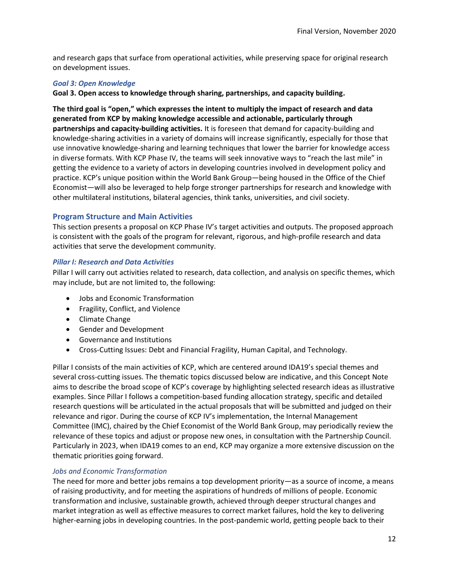and research gaps that surface from operational activities, while preserving space for original research on development issues.

#### <span id="page-11-0"></span>*Goal 3: Open Knowledge*

**Goal 3. Open access to knowledge through sharing, partnerships, and capacity building.**

**The third goal is "open," which expresses the intent to multiply the impact of research and data generated from KCP by making knowledge accessible and actionable, particularly through partnerships and capacity-building activities.** It is foreseen that demand for capacity-building and knowledge-sharing activities in a variety of domains will increase significantly, especially for those that use innovative knowledge-sharing and learning techniques that lower the barrier for knowledge access in diverse formats. With KCP Phase IV, the teams will seek innovative ways to "reach the last mile" in getting the evidence to a variety of actors in developing countries involved in development policy and practice. KCP's unique position within the World Bank Group—being housed in the Office of the Chief Economist—will also be leveraged to help forge stronger partnerships for research and knowledge with other multilateral institutions, bilateral agencies, think tanks, universities, and civil society.

#### <span id="page-11-1"></span>**Program Structure and Main Activities**

This section presents a proposal on KCP Phase IV's target activities and outputs. The proposed approach is consistent with the goals of the program for relevant, rigorous, and high-profile research and data activities that serve the development community.

#### <span id="page-11-2"></span>*Pillar I: Research and Data Activities*

Pillar I will carry out activities related to research, data collection, and analysis on specific themes, which may include, but are not limited to, the following:

- Jobs and Economic Transformation
- Fragility, Conflict, and Violence
- Climate Change
- Gender and Development
- Governance and Institutions
- Cross-Cutting Issues: Debt and Financial Fragility, Human Capital, and Technology.

Pillar I consists of the main activities of KCP, which are centered around IDA19's special themes and several cross-cutting issues. The thematic topics discussed below are indicative, and this Concept Note aims to describe the broad scope of KCP's coverage by highlighting selected research ideas as illustrative examples. Since Pillar I follows a competition-based funding allocation strategy, specific and detailed research questions will be articulated in the actual proposals that will be submitted and judged on their relevance and rigor. During the course of KCP IV's implementation, the Internal Management Committee (IMC), chaired by the Chief Economist of the World Bank Group, may periodically review the relevance of these topics and adjust or propose new ones, in consultation with the Partnership Council. Particularly in 2023, when IDA19 comes to an end, KCP may organize a more extensive discussion on the thematic priorities going forward.

#### <span id="page-11-3"></span>*Jobs and Economic Transformation*

The need for more and better jobs remains a top development priority—as a source of income, a means of raising productivity, and for meeting the aspirations of hundreds of millions of people. Economic transformation and inclusive, sustainable growth, achieved through deeper structural changes and market integration as well as effective measures to correct market failures, hold the key to delivering higher-earning jobs in developing countries. In the post-pandemic world, getting people back to their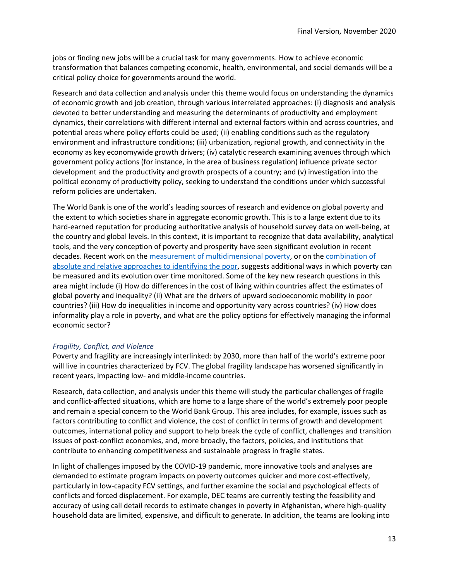jobs or finding new jobs will be a crucial task for many governments. How to achieve economic transformation that balances competing economic, health, environmental, and social demands will be a critical policy choice for governments around the world.

Research and data collection and analysis under this theme would focus on understanding the dynamics of economic growth and job creation, through various interrelated approaches: (i) diagnosis and analysis devoted to better understanding and measuring the determinants of productivity and employment dynamics, their correlations with different internal and external factors within and across countries, and potential areas where policy efforts could be used; (ii) enabling conditions such as the regulatory environment and infrastructure conditions; (iii) urbanization, regional growth, and connectivity in the economy as key economywide growth drivers; (iv) catalytic research examining avenues through which government policy actions (for instance, in the area of business regulation) influence private sector development and the productivity and growth prospects of a country; and (v) investigation into the political economy of productivity policy, seeking to understand the conditions under which successful reform policies are undertaken.

The World Bank is one of the world's leading sources of research and evidence on global poverty and the extent to which societies share in aggregate economic growth. This is to a large extent due to its hard-earned reputation for producing authoritative analysis of household survey data on well-being, at the country and global levels. In this context, it is important to recognize that data availability, analytical tools, and the very conception of poverty and prosperity have seen significant evolution in recent decades. Recent work on the [measurement of multidimensional poverty,](https://www.worldbank.org/en/publication/poverty-and-shared-prosperity#:~:text=Multidimensional%20Poverty%20Measure&text=At%20the%20global%20level%2C%20the,relying%20solely%20on%20monetary%20poverty.) or on the [combination of](http://datatopics.worldbank.org/world-development-indicators/stories/societal-poverty-a-global-measure-of-relative-poverty.html)  [absolute and relative approaches to identifying the poor,](http://datatopics.worldbank.org/world-development-indicators/stories/societal-poverty-a-global-measure-of-relative-poverty.html) suggests additional ways in which poverty can be measured and its evolution over time monitored. Some of the key new research questions in this area might include (i) How do differences in the cost of living within countries affect the estimates of global poverty and inequality? (ii) What are the drivers of upward socioeconomic mobility in poor countries? (iii) How do inequalities in income and opportunity vary across countries? (iv) How does informality play a role in poverty, and what are the policy options for effectively managing the informal economic sector?

#### <span id="page-12-0"></span>*Fragility, Conflict, and Violence*

Poverty and fragility are increasingly interlinked: by 2030, more than half of the world's extreme poor will live in countries characterized by FCV. The global fragility landscape has worsened significantly in recent years, impacting low- and middle-income countries.

Research, data collection, and analysis under this theme will study the particular challenges of fragile and conflict-affected situations, which are home to a large share of the world's extremely poor people and remain a special concern to the World Bank Group. This area includes, for example, issues such as factors contributing to conflict and violence, the cost of conflict in terms of growth and development outcomes, international policy and support to help break the cycle of conflict, challenges and transition issues of post-conflict economies, and, more broadly, the factors, policies, and institutions that contribute to enhancing competitiveness and sustainable progress in fragile states.

In light of challenges imposed by the COVID-19 pandemic, more innovative tools and analyses are demanded to estimate program impacts on poverty outcomes quicker and more cost-effectively, particularly in low-capacity FCV settings, and further examine the social and psychological effects of conflicts and forced displacement. For example, DEC teams are currently testing the feasibility and accuracy of using call detail records to estimate changes in poverty in Afghanistan, where high-quality household data are limited, expensive, and difficult to generate. In addition, the teams are looking into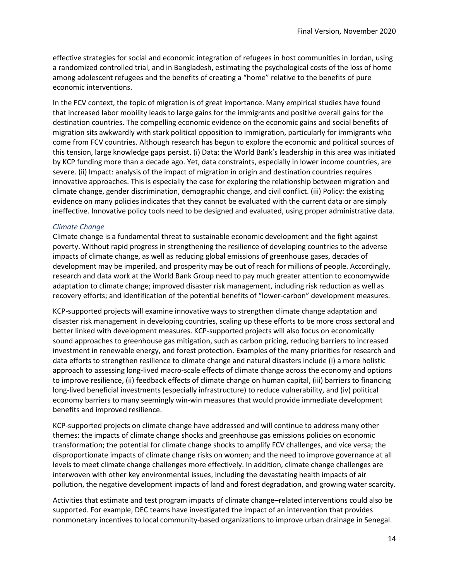effective strategies for social and economic integration of refugees in host communities in Jordan, using a randomized controlled trial, and in Bangladesh, estimating the psychological costs of the loss of home among adolescent refugees and the benefits of creating a "home" relative to the benefits of pure economic interventions.

In the FCV context, the topic of migration is of great importance. Many empirical studies have found that increased labor mobility leads to large gains for the immigrants and positive overall gains for the destination countries. The compelling economic evidence on the economic gains and social benefits of migration sits awkwardly with stark political opposition to immigration, particularly for immigrants who come from FCV countries. Although research has begun to explore the economic and political sources of this tension, large knowledge gaps persist. (i) Data: the World Bank's leadership in this area was initiated by KCP funding more than a decade ago. Yet, data constraints, especially in lower income countries, are severe. (ii) Impact: analysis of the impact of migration in origin and destination countries requires innovative approaches. This is especially the case for exploring the relationship between migration and climate change, gender discrimination, demographic change, and civil conflict. (iii) Policy: the existing evidence on many policies indicates that they cannot be evaluated with the current data or are simply ineffective. Innovative policy tools need to be designed and evaluated, using proper administrative data.

#### <span id="page-13-0"></span>*Climate Change*

Climate change is a fundamental threat to sustainable economic development and the fight against poverty. Without rapid progress in strengthening the resilience of developing countries to the adverse impacts of climate change, as well as reducing global emissions of greenhouse gases, decades of development may be imperiled, and prosperity may be out of reach for millions of people. Accordingly, research and data work at the World Bank Group need to pay much greater attention to economywide adaptation to climate change; improved disaster risk management, including risk reduction as well as recovery efforts; and identification of the potential benefits of "lower-carbon" development measures.

KCP-supported projects will examine innovative ways to strengthen climate change adaptation and disaster risk management in developing countries, scaling up these efforts to be more cross sectoral and better linked with development measures. KCP-supported projects will also focus on economically sound approaches to greenhouse gas mitigation, such as carbon pricing, reducing barriers to increased investment in renewable energy, and forest protection. Examples of the many priorities for research and data efforts to strengthen resilience to climate change and natural disasters include (i) a more holistic approach to assessing long-lived macro-scale effects of climate change across the economy and options to improve resilience, (ii) feedback effects of climate change on human capital, (iii) barriers to financing long-lived beneficial investments (especially infrastructure) to reduce vulnerability, and (iv) political economy barriers to many seemingly win-win measures that would provide immediate development benefits and improved resilience.

KCP-supported projects on climate change have addressed and will continue to address many other themes: the impacts of climate change shocks and greenhouse gas emissions policies on economic transformation; the potential for climate change shocks to amplify FCV challenges, and vice versa; the disproportionate impacts of climate change risks on women; and the need to improve governance at all levels to meet climate change challenges more effectively. In addition, climate change challenges are interwoven with other key environmental issues, including the devastating health impacts of air pollution, the negative development impacts of land and forest degradation, and growing water scarcity.

Activities that estimate and test program impacts of climate change–related interventions could also be supported. For example, DEC teams have investigated the impact of an intervention that provides nonmonetary incentives to local community-based organizations to improve urban drainage in Senegal.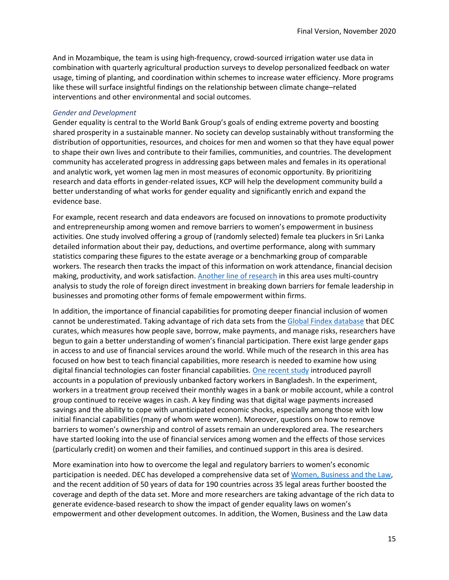And in Mozambique, the team is using high-frequency, crowd-sourced irrigation water use data in combination with quarterly agricultural production surveys to develop personalized feedback on water usage, timing of planting, and coordination within schemes to increase water efficiency. More programs like these will surface insightful findings on the relationship between climate change–related interventions and other environmental and social outcomes.

#### <span id="page-14-0"></span>*Gender and Development*

Gender equality is central to the World Bank Group's goals of ending extreme poverty and boosting shared prosperity in a sustainable manner. No society can develop sustainably without transforming the distribution of opportunities, resources, and choices for men and women so that they have equal power to shape their own lives and contribute to their families, communities, and countries. The development community has accelerated progress in addressing gaps between males and females in its operational and analytic work, yet women lag men in most measures of economic opportunity. By prioritizing research and data efforts in gender-related issues, KCP will help the development community build a better understanding of what works for gender equality and significantly enrich and expand the evidence base.

For example, recent research and data endeavors are focused on innovations to promote productivity and entrepreneurship among women and remove barriers to women's empowerment in business activities. One study involved offering a group of (randomly selected) female tea pluckers in Sri Lanka detailed information about their pay, deductions, and overtime performance, along with summary statistics comparing these figures to the estate average or a benchmarking group of comparable workers. The research then tracks the impact of this information on work attendance, financial decision making, productivity, and work satisfaction. [Another line of research](https://documents.worldbank.org/en/publication/documents-reports/documentdetail/404861576511949229/foreign-direct-investment-and-female-entrepreneurship) in this area uses multi-country analysis to study the role of foreign direct investment in breaking down barriers for female leadership in businesses and promoting other forms of female empowerment within firms.

In addition, the importance of financial capabilities for promoting deeper financial inclusion of women cannot be underestimated. Taking advantage of rich data sets from the [Global Findex database](https://globalfindex.worldbank.org/#data_sec_focus) that DEC curates, which measures how people save, borrow, make payments, and manage risks, researchers have begun to gain a better understanding of women's financial participation. There exist large gender gaps in access to and use of financial services around the world. While much of the research in this area has focused on how best to teach financial capabilities, more research is needed to examine how using digital financial technologies can foster financial capabilities. [One recent study](https://www.theigc.org/project/the-real-effects-of-electronic-wage-payments-an-experiment-with-salaried-factory-workers-in-bangladesh/) introduced payroll accounts in a population of previously unbanked factory workers in Bangladesh. In the experiment, workers in a treatment group received their monthly wages in a bank or mobile account, while a control group continued to receive wages in cash. A key finding was that digital wage payments increased savings and the ability to cope with unanticipated economic shocks, especially among those with low initial financial capabilities (many of whom were women). Moreover, questions on how to remove barriers to women's ownership and control of assets remain an underexplored area. The researchers have started looking into the use of financial services among women and the effects of those services (particularly credit) on women and their families, and continued support in this area is desired.

More examination into how to overcome the legal and regulatory barriers to women's economic participation is needed. DEC has developed a comprehensive data set o[f Women, Business and the Law,](https://wbl.worldbank.org/) and the recent addition of 50 years of data for 190 countries across 35 legal areas further boosted the coverage and depth of the data set. More and more researchers are taking advantage of the rich data to generate evidence-based research to show the impact of gender equality laws on women's empowerment and other development outcomes. In addition, the Women, Business and the Law data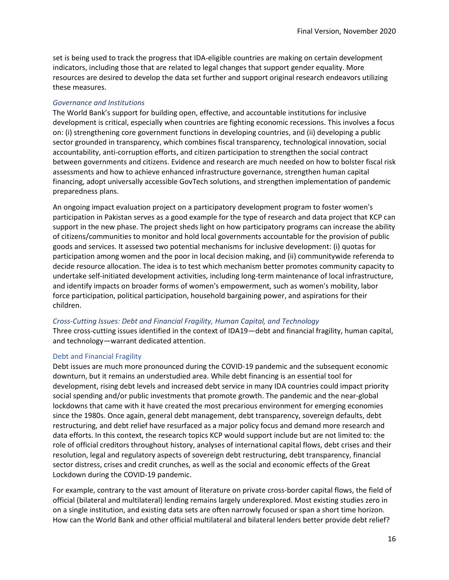set is being used to track the progress that IDA-eligible countries are making on certain development indicators, including those that are related to legal changes that support gender equality. More resources are desired to develop the data set further and support original research endeavors utilizing these measures.

#### <span id="page-15-0"></span>*Governance and Institutions*

The World Bank's support for building open, effective, and accountable institutions for inclusive development is critical, especially when countries are fighting economic recessions. This involves a focus on: (i) strengthening core government functions in developing countries, and (ii) developing a public sector grounded in transparency, which combines fiscal transparency, technological innovation, social accountability, anti-corruption efforts, and citizen participation to strengthen the social contract between governments and citizens. Evidence and research are much needed on how to bolster fiscal risk assessments and how to achieve enhanced infrastructure governance, strengthen human capital financing, adopt universally accessible GovTech solutions, and strengthen implementation of pandemic preparedness plans.

An ongoing impact evaluation project on a participatory development program to foster women's participation in Pakistan serves as a good example for the type of research and data project that KCP can support in the new phase. The project sheds light on how participatory programs can increase the ability of citizens/communities to monitor and hold local governments accountable for the provision of public goods and services. It assessed two potential mechanisms for inclusive development: (i) quotas for participation among women and the poor in local decision making, and (ii) communitywide referenda to decide resource allocation. The idea is to test which mechanism better promotes community capacity to undertake self-initiated development activities, including long-term maintenance of local infrastructure, and identify impacts on broader forms of women's empowerment, such as women's mobility, labor force participation, political participation, household bargaining power, and aspirations for their children.

#### <span id="page-15-1"></span>*Cross-Cutting Issues: Debt and Financial Fragility, Human Capital, and Technology*

Three cross-cutting issues identified in the context of IDA19—debt and financial fragility, human capital, and technology—warrant dedicated attention.

#### Debt and Financial Fragility

Debt issues are much more pronounced during the COVID-19 pandemic and the subsequent economic downturn, but it remains an understudied area. While debt financing is an essential tool for development, rising debt levels and increased debt service in many IDA countries could impact priority social spending and/or public investments that promote growth. The pandemic and the near-global lockdowns that came with it have created the most precarious environment for emerging economies since the 1980s. Once again, general debt management, debt transparency, sovereign defaults, debt restructuring, and debt relief have resurfaced as a major policy focus and demand more research and data efforts. In this context, the research topics KCP would support include but are not limited to: the role of official creditors throughout history, analyses of international capital flows, debt crises and their resolution, legal and regulatory aspects of sovereign debt restructuring, debt transparency, financial sector distress, crises and credit crunches, as well as the social and economic effects of the Great Lockdown during the COVID-19 pandemic.

For example, contrary to the vast amount of literature on private cross-border capital flows, the field of official (bilateral and multilateral) lending remains largely underexplored. Most existing studies zero in on a single institution, and existing data sets are often narrowly focused or span a short time horizon. How can the World Bank and other official multilateral and bilateral lenders better provide debt relief?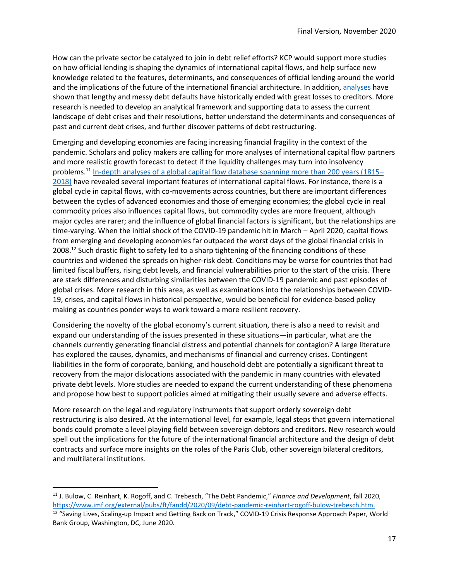How can the private sector be catalyzed to join in debt relief efforts? KCP would support more studies on how official lending is shaping the dynamics of international capital flows, and help surface new knowledge related to the features, determinants, and consequences of official lending around the world and the implications of the future of the international financial architecture. In addition, [analyses](https://academic.oup.com/jeea/article/14/1/215/2319815) have shown that lengthy and messy debt defaults have historically ended with great losses to creditors. More research is needed to develop an analytical framework and supporting data to assess the current landscape of debt crises and their resolutions, better understand the determinants and consequences of past and current debt crises, and further discover patterns of debt restructuring.

Emerging and developing economies are facing increasing financial fragility in the context of the pandemic. Scholars and policy makers are calling for more analyses of international capital flow partners and more realistic growth forecast to detect if the liquidity challenges may turn into insolvency problems.<sup>11</sup> [In-depth analyses of a global capital flow database spanning](https://www.aeaweb.org/articles?id=10.1257/aer.p20161014) more than 200 years (1815– [2018\)](https://www.aeaweb.org/articles?id=10.1257/aer.p20161014) have revealed several important features of international capital flows. For instance, there is a global cycle in capital flows, with co-movements across countries, but there are important differences between the cycles of advanced economies and those of emerging economies; the global cycle in real commodity prices also influences capital flows, but commodity cycles are more frequent, although major cycles are rarer; and the influence of global financial factors is significant, but the relationships are time-varying. When the initial shock of the COVID-19 pandemic hit in March – April 2020, capital flows from emerging and developing economies far outpaced the worst days of the global financial crisis in 2008.<sup>12</sup> Such drastic flight to safety led to a sharp tightening of the financing conditions of these countries and widened the spreads on higher-risk debt. Conditions may be worse for countries that had limited fiscal buffers, rising debt levels, and financial vulnerabilities prior to the start of the crisis. There are stark differences and disturbing similarities between the COVID-19 pandemic and past episodes of global crises. More research in this area, as well as examinations into the relationships between COVID-19, crises, and capital flows in historical perspective, would be beneficial for evidence-based policy making as countries ponder ways to work toward a more resilient recovery.

Considering the novelty of the global economy's current situation, there is also a need to revisit and expand our understanding of the issues presented in these situations—in particular, what are the channels currently generating financial distress and potential channels for contagion? A large literature has explored the causes, dynamics, and mechanisms of financial and currency crises. Contingent liabilities in the form of corporate, banking, and household debt are potentially a significant threat to recovery from the major dislocations associated with the pandemic in many countries with elevated private debt levels. More studies are needed to expand the current understanding of these phenomena and propose how best to support policies aimed at mitigating their usually severe and adverse effects.

More research on the legal and regulatory instruments that support orderly sovereign debt restructuring is also desired. At the international level, for example, legal steps that govern international bonds could promote a level playing field between sovereign debtors and creditors. New research would spell out the implications for the future of the international financial architecture and the design of debt contracts and surface more insights on the roles of the Paris Club, other sovereign bilateral creditors, and multilateral institutions.

<sup>11</sup> J. Bulow, C. Reinhart, K. Rogoff, and C. Trebesch, "The Debt Pandemic," *Finance and Development*, fall 2020, [https://www.imf.org/external/pubs/ft/fandd/2020/09/debt-pandemic-reinhart-rogoff-bulow-trebesch.htm.](https://www.imf.org/external/pubs/ft/fandd/2020/09/debt-pandemic-reinhart-rogoff-bulow-trebesch.htm)

<sup>&</sup>lt;sup>12</sup> "Saving Lives, Scaling-up Impact and Getting Back on Track," COVID-19 Crisis Response Approach Paper, World Bank Group, Washington, DC, June 2020.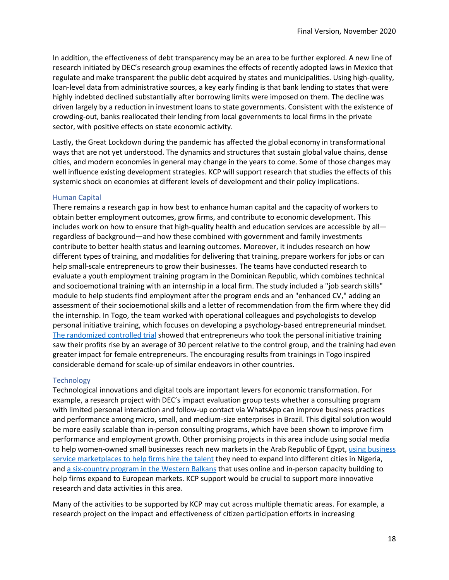In addition, the effectiveness of debt transparency may be an area to be further explored. A new line of research initiated by DEC's research group examines the effects of recently adopted laws in Mexico that regulate and make transparent the public debt acquired by states and municipalities. Using high-quality, loan-level data from administrative sources, a key early finding is that bank lending to states that were highly indebted declined substantially after borrowing limits were imposed on them. The decline was driven largely by a reduction in investment loans to state governments. Consistent with the existence of crowding-out, banks reallocated their lending from local governments to local firms in the private sector, with positive effects on state economic activity.

Lastly, the Great Lockdown during the pandemic has affected the global economy in transformational ways that are not yet understood. The dynamics and structures that sustain global value chains, dense cities, and modern economies in general may change in the years to come. Some of those changes may well influence existing development strategies. KCP will support research that studies the effects of this systemic shock on economies at different levels of development and their policy implications.

#### Human Capital

There remains a research gap in how best to enhance human capital and the capacity of workers to obtain better employment outcomes, grow firms, and contribute to economic development. This includes work on how to ensure that high-quality health and education services are accessible by all regardless of background—and how these combined with government and family investments contribute to better health status and learning outcomes. Moreover, it includes research on how different types of training, and modalities for delivering that training, prepare workers for jobs or can help small-scale entrepreneurs to grow their businesses. The teams have conducted research to evaluate a youth employment training program in the Dominican Republic, which combines technical and socioemotional training with an internship in a local firm. The study included a "job search skills" module to help students find employment after the program ends and an "enhanced CV," adding an assessment of their socioemotional skills and a letter of recommendation from the firm where they did the internship. In Togo, the team worked with operational colleagues and psychologists to develop personal initiative training, which focuses on developing a psychology-based entrepreneurial mindset. [The randomized controlled](http://documents1.worldbank.org/curated/en/635311516194319062/pdf/BRI-GILTogoPeronsonalInitiativeBriefv-PUBLIC.pdf) trial showed that entrepreneurs who took the personal initiative training saw their profits rise by an average of 30 percent relative to the control group, and the training had even greater impact for female entrepreneurs. The encouraging results from trainings in Togo inspired considerable demand for scale-up of similar endeavors in other countries.

#### **Technology**

Technological innovations and digital tools are important levers for economic transformation. For example, a research project with DEC's impact evaluation group tests whether a consulting program with limited personal interaction and follow-up contact via WhatsApp can improve business practices and performance among micro, small, and medium-size enterprises in Brazil. This digital solution would be more easily scalable than in-person consulting programs, which have been shown to improve firm performance and employment growth. Other promising projects in this area include using social media to help women-owned small businesses reach new markets in the Arab Republic of Egypt, using business [service marketplaces to help firms hire the talent](https://www.youtube.com/watch?v=g5wvXiY0_p0) they need to expand into different cities in Nigeria, and [a six-country program in the Western Balkans](http://documents1.worldbank.org/curated/en/453261533567046459/pdf/WPS8541.pdf) that uses online and in-person capacity building to help firms expand to European markets. KCP support would be crucial to support more innovative research and data activities in this area.

Many of the activities to be supported by KCP may cut across multiple thematic areas. For example, a research project on the impact and effectiveness of citizen participation efforts in increasing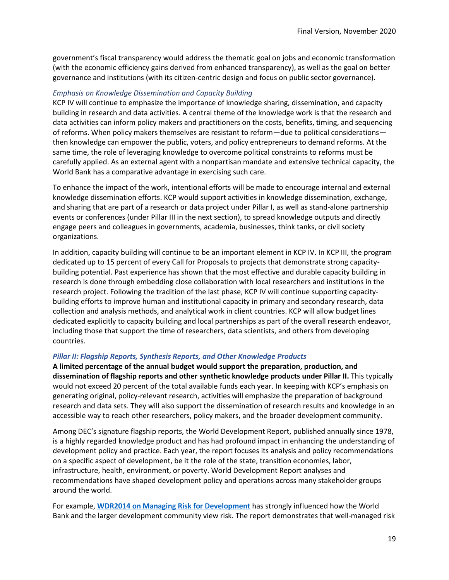government's fiscal transparency would address the thematic goal on jobs and economic transformation (with the economic efficiency gains derived from enhanced transparency), as well as the goal on better governance and institutions (with its citizen-centric design and focus on public sector governance).

#### <span id="page-18-0"></span>*Emphasis on Knowledge Dissemination and Capacity Building*

KCP IV will continue to emphasize the importance of knowledge sharing, dissemination, and capacity building in research and data activities. A central theme of the knowledge work is that the research and data activities can inform policy makers and practitioners on the costs, benefits, timing, and sequencing of reforms. When policy makers themselves are resistant to reform—due to political considerations then knowledge can empower the public, voters, and policy entrepreneurs to demand reforms. At the same time, the role of leveraging knowledge to overcome political constraints to reforms must be carefully applied. As an external agent with a nonpartisan mandate and extensive technical capacity, the World Bank has a comparative advantage in exercising such care.

To enhance the impact of the work, intentional efforts will be made to encourage internal and external knowledge dissemination efforts. KCP would support activities in knowledge dissemination, exchange, and sharing that are part of a research or data project under Pillar I, as well as stand-alone partnership events or conferences (under Pillar III in the next section), to spread knowledge outputs and directly engage peers and colleagues in governments, academia, businesses, think tanks, or civil society organizations.

In addition, capacity building will continue to be an important element in KCP IV. In KCP III, the program dedicated up to 15 percent of every Call for Proposals to projects that demonstrate strong capacitybuilding potential. Past experience has shown that the most effective and durable capacity building in research is done through embedding close collaboration with local researchers and institutions in the research project. Following the tradition of the last phase, KCP IV will continue supporting capacitybuilding efforts to improve human and institutional capacity in primary and secondary research, data collection and analysis methods, and analytical work in client countries. KCP will allow budget lines dedicated explicitly to capacity building and local partnerships as part of the overall research endeavor, including those that support the time of researchers, data scientists, and others from developing countries.

#### <span id="page-18-1"></span>*Pillar II: Flagship Reports, Synthesis Reports, and Other Knowledge Products*

**A limited percentage of the annual budget would support the preparation, production, and dissemination of flagship reports and other synthetic knowledge products under Pillar II.** This typically would not exceed 20 percent of the total available funds each year. In keeping with KCP's emphasis on generating original, policy-relevant research, activities will emphasize the preparation of background research and data sets. They will also support the dissemination of research results and knowledge in an accessible way to reach other researchers, policy makers, and the broader development community.

Among DEC's signature flagship reports, the World Development Report, published annually since 1978, is a highly regarded knowledge product and has had profound impact in enhancing the understanding of development policy and practice. Each year, the report focuses its analysis and policy recommendations on a specific aspect of development, be it the role of the state, transition economies, labor, infrastructure, health, environment, or poverty. World Development Report analyses and recommendations have shaped development policy and operations across many stakeholder groups around the world.

For example, **WDR2014 [on Managing Risk for Development](https://openknowledge.worldbank.org/handle/10986/16092)** has strongly influenced how the World Bank and the larger development community view risk. The report demonstrates that well-managed risk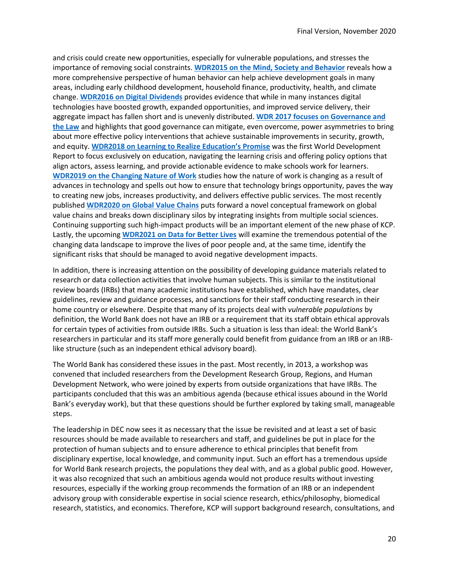and crisis could create new opportunities, especially for vulnerable populations, and stresses the importance of removing social constraints. **[WDR2015 on the Mind, Society and Behavior](https://www.worldbank.org/en/publication/wdr2015)** reveals how a more comprehensive perspective of human behavior can help achieve development goals in many areas, including early childhood development, household finance, productivity, health, and climate change. **WDR2016 [on Digital Dividends](https://www.worldbank.org/en/publication/wdr2016)** provides evidence that while in many instances digital technologies have boosted growth, expanded opportunities, and improved service delivery, their aggregate impact has fallen short and is unevenly distributed. **WDR 2017 focuses [on Governance and](https://www.worldbank.org/en/publication/wdr2017)  [the Law](https://www.worldbank.org/en/publication/wdr2017)** and highlights that good governance can mitigate, even overcome, power asymmetries to bring about more effective policy interventions that achieve sustainable improvements in security, growth, and equity. **[WDR2018 on Learning to Realize Education's Promise](https://www.worldbank.org/en/publication/wdr2018)** was the first World Development Report to focus exclusively on education, navigating the learning crisis and offering policy options that align actors, assess learning, and provide actionable evidence to make schools work for learners. **[WDR2019 on the Changing Nature of Work](https://www.worldbank.org/en/publication/wdr2019)** studies how the nature of work is changing as a result of advances in technology and spells out how to ensure that technology brings opportunity, paves the way to creating new jobs, increases productivity, and delivers effective public services. The most recently published **WDR2020 [on Global Value Chains](https://www.worldbank.org/en/publication/wdr2020)** puts forward a novel conceptual framework on global value chains and breaks down disciplinary silos by integrating insights from multiple social sciences. Continuing supporting such high-impact products will be an important element of the new phase of KCP. Lastly, the upcoming **[WDR2021 on Data for Better Lives](https://www.worldbank.org/en/publication/wdr2021)** will examine the tremendous potential of the changing data landscape to improve the lives of poor people and, at the same time, identify the significant risks that should be managed to avoid negative development impacts.

In addition, there is increasing attention on the possibility of developing guidance materials related to research or data collection activities that involve human subjects. This is similar to the institutional review boards (IRBs) that many academic institutions have established, which have mandates, clear guidelines, review and guidance processes, and sanctions for their staff conducting research in their home country or elsewhere. Despite that many of its projects deal with *vulnerable populations* by definition, the World Bank does not have an IRB or a requirement that its staff obtain ethical approvals for certain types of activities from outside IRBs. Such a situation is less than ideal: the World Bank's researchers in particular and its staff more generally could benefit from guidance from an IRB or an IRBlike structure (such as an independent ethical advisory board).

The World Bank has considered these issues in the past. Most recently, in 2013, a workshop was convened that included researchers from the Development Research Group, Regions, and Human Development Network, who were joined by experts from outside organizations that have IRBs. The participants concluded that this was an ambitious agenda (because ethical issues abound in the World Bank's everyday work), but that these questions should be further explored by taking small, manageable steps.

The leadership in DEC now sees it as necessary that the issue be revisited and at least a set of basic resources should be made available to researchers and staff, and guidelines be put in place for the protection of human subjects and to ensure adherence to ethical principles that benefit from disciplinary expertise, local knowledge, and community input. Such an effort has a tremendous upside for World Bank research projects, the populations they deal with, and as a global public good. However, it was also recognized that such an ambitious agenda would not produce results without investing resources, especially if the working group recommends the formation of an IRB or an independent advisory group with considerable expertise in social science research, ethics/philosophy, biomedical research, statistics, and economics. Therefore, KCP will support background research, consultations, and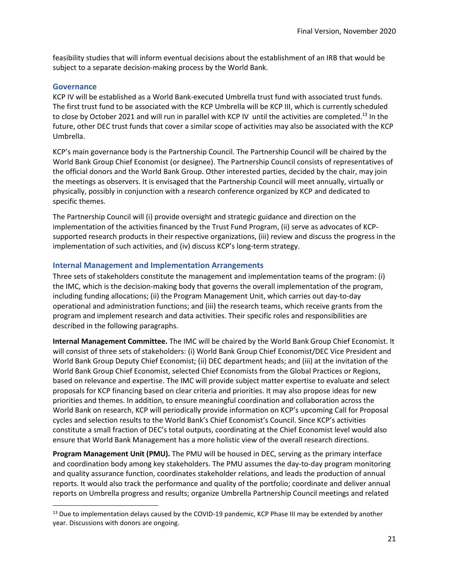feasibility studies that will inform eventual decisions about the establishment of an IRB that would be subject to a separate decision-making process by the World Bank.

#### <span id="page-20-0"></span>**Governance**

KCP IV will be established as a World Bank-executed Umbrella trust fund with associated trust funds. The first trust fund to be associated with the KCP Umbrella will be KCP III, which is currently scheduled to close by October 2021 and will run in parallel with KCP IV until the activities are completed.<sup>13</sup> In the future, other DEC trust funds that cover a similar scope of activities may also be associated with the KCP Umbrella.

KCP's main governance body is the Partnership Council. The Partnership Council will be chaired by the World Bank Group Chief Economist (or designee). The Partnership Council consists of representatives of the official donors and the World Bank Group. Other interested parties, decided by the chair, may join the meetings as observers. It is envisaged that the Partnership Council will meet annually, virtually or physically, possibly in conjunction with a research conference organized by KCP and dedicated to specific themes.

The Partnership Council will (i) provide oversight and strategic guidance and direction on the implementation of the activities financed by the Trust Fund Program, (ii) serve as advocates of KCPsupported research products in their respective organizations, (iii) review and discuss the progress in the implementation of such activities, and (iv) discuss KCP's long-term strategy.

#### <span id="page-20-1"></span>**Internal Management and Implementation Arrangements**

Three sets of stakeholders constitute the management and implementation teams of the program: (i) the IMC, which is the decision-making body that governs the overall implementation of the program, including funding allocations; (ii) the Program Management Unit, which carries out day-to-day operational and administration functions; and (iii) the research teams, which receive grants from the program and implement research and data activities. Their specific roles and responsibilities are described in the following paragraphs.

**Internal Management Committee.** The IMC will be chaired by the World Bank Group Chief Economist. It will consist of three sets of stakeholders: (i) World Bank Group Chief Economist/DEC Vice President and World Bank Group Deputy Chief Economist; (ii) DEC department heads; and (iii) at the invitation of the World Bank Group Chief Economist, selected Chief Economists from the Global Practices or Regions, based on relevance and expertise. The IMC will provide subject matter expertise to evaluate and select proposals for KCP financing based on clear criteria and priorities. It may also propose ideas for new priorities and themes. In addition, to ensure meaningful coordination and collaboration across the World Bank on research, KCP will periodically provide information on KCP's upcoming Call for Proposal cycles and selection results to the World Bank's Chief Economist's Council. Since KCP's activities constitute a small fraction of DEC's total outputs, coordinating at the Chief Economist level would also ensure that World Bank Management has a more holistic view of the overall research directions.

**Program Management Unit (PMU).** The PMU will be housed in DEC, serving as the primary interface and coordination body among key stakeholders. The PMU assumes the day-to-day program monitoring and quality assurance function, coordinates stakeholder relations, and leads the production of annual reports. It would also track the performance and quality of the portfolio; coordinate and deliver annual reports on Umbrella progress and results; organize Umbrella Partnership Council meetings and related

<sup>&</sup>lt;sup>13</sup> Due to implementation delays caused by the COVID-19 pandemic, KCP Phase III may be extended by another year. Discussions with donors are ongoing.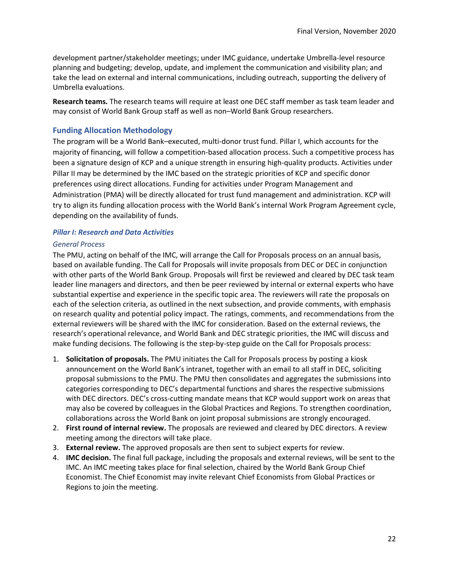development partner/stakeholder meetings; under IMC guidance, undertake Umbrella-level resource planning and budgeting; develop, update, and implement the communication and visibility plan; and take the lead on external and internal communications, including outreach, supporting the delivery of Umbrella evaluations.

**Research teams.** The research teams will require at least one DEC staff member as task team leader and may consist of World Bank Group staff as well as non–World Bank Group researchers.

#### <span id="page-21-0"></span>**Funding Allocation Methodology**

The program will be a World Bank–executed, multi-donor trust fund. Pillar I, which accounts for the majority of financing, will follow a competition-based allocation process. Such a competitive process has been a signature design of KCP and a unique strength in ensuring high-quality products. Activities under Pillar II may be determined by the IMC based on the strategic priorities of KCP and specific donor preferences using direct allocations. Funding for activities under Program Management and Administration (PMA) will be directly allocated for trust fund management and administration. KCP will try to align its funding allocation process with the World Bank's internal Work Program Agreement cycle, depending on the availability of funds.

#### <span id="page-21-1"></span>*Pillar I: Research and Data Activities*

#### <span id="page-21-2"></span>*General Process*

The PMU, acting on behalf of the IMC, will arrange the Call for Proposals process on an annual basis, based on available funding. The Call for Proposals will invite proposals from DEC or DEC in conjunction with other parts of the World Bank Group. Proposals will first be reviewed and cleared by DEC task team leader line managers and directors, and then be peer reviewed by internal or external experts who have substantial expertise and experience in the specific topic area. The reviewers will rate the proposals on each of the selection criteria, as outlined in the next subsection, and provide comments, with emphasis on research quality and potential policy impact. The ratings, comments, and recommendations from the external reviewers will be shared with the IMC for consideration. Based on the external reviews, the research's operational relevance, and World Bank and DEC strategic priorities, the IMC will discuss and make funding decisions. The following is the step-by-step guide on the Call for Proposals process:

- 1. **Solicitation of proposals.** The PMU initiates the Call for Proposals process by posting a kiosk announcement on the World Bank's intranet, together with an email to all staff in DEC, soliciting proposal submissions to the PMU. The PMU then consolidates and aggregates the submissions into categories corresponding to DEC's departmental functions and shares the respective submissions with DEC directors. DEC's cross-cutting mandate means that KCP would support work on areas that may also be covered by colleagues in the Global Practices and Regions. To strengthen coordination, collaborations across the World Bank on joint proposal submissions are strongly encouraged.
- 2. **First round of internal review.** The proposals are reviewed and cleared by DEC directors. A review meeting among the directors will take place.
- 3. **External review.** The approved proposals are then sent to subject experts for review.
- 4. **IMC decision.** The final full package, including the proposals and external reviews, will be sent to the IMC. An IMC meeting takes place for final selection, chaired by the World Bank Group Chief Economist. The Chief Economist may invite relevant Chief Economists from Global Practices or Regions to join the meeting.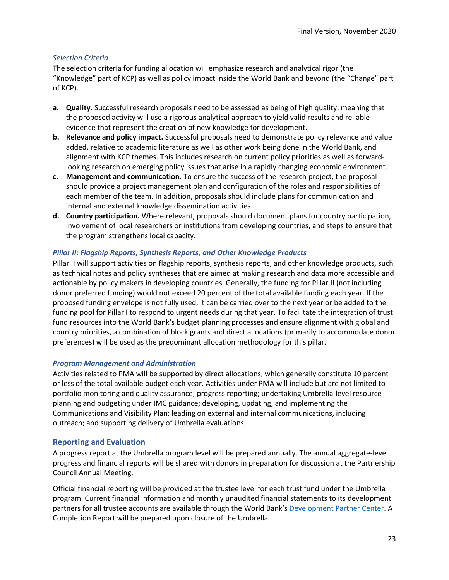#### <span id="page-22-0"></span>*Selection Criteria*

The selection criteria for funding allocation will emphasize research and analytical rigor (the "Knowledge" part of KCP) as well as policy impact inside the World Bank and beyond (the "Change" part of KCP).

- **a. Quality.** Successful research proposals need to be assessed as being of high quality, meaning that the proposed activity will use a rigorous analytical approach to yield valid results and reliable evidence that represent the creation of new knowledge for development.
- **b. Relevance and policy impact.** Successful proposals need to demonstrate policy relevance and value added, relative to academic literature as well as other work being done in the World Bank, and alignment with KCP themes. This includes research on current policy priorities as well as forwardlooking research on emerging policy issues that arise in a rapidly changing economic environment.
- **c. Management and communication.** To ensure the success of the research project, the proposal should provide a project management plan and configuration of the roles and responsibilities of each member of the team. In addition, proposals should include plans for communication and internal and external knowledge dissemination activities.
- **d. Country participation.** Where relevant, proposals should document plans for country participation, involvement of local researchers or institutions from developing countries, and steps to ensure that the program strengthens local capacity.

#### <span id="page-22-1"></span>*Pillar II: Flagship Reports, Synthesis Reports, and Other Knowledge Products*

Pillar II will support activities on flagship reports, synthesis reports, and other knowledge products, such as technical notes and policy syntheses that are aimed at making research and data more accessible and actionable by policy makers in developing countries. Generally, the funding for Pillar II (not including donor preferred funding) would not exceed 20 percent of the total available funding each year. If the proposed funding envelope is not fully used, it can be carried over to the next year or be added to the funding pool for Pillar I to respond to urgent needs during that year. To facilitate the integration of trust fund resources into the World Bank's budget planning processes and ensure alignment with global and country priorities, a combination of block grants and direct allocations (primarily to accommodate donor preferences) will be used as the predominant allocation methodology for this pillar.

#### <span id="page-22-2"></span>*Program Management and Administration*

Activities related to PMA will be supported by direct allocations, which generally constitute 10 percent or less of the total available budget each year. Activities under PMA will include but are not limited to portfolio monitoring and quality assurance; progress reporting; undertaking Umbrella-level resource planning and budgeting under IMC guidance; developing, updating, and implementing the Communications and Visibility Plan; leading on external and internal communications, including outreach; and supporting delivery of Umbrella evaluations.

#### <span id="page-22-3"></span>**Reporting and Evaluation**

A progress report at the Umbrella program level will be prepared annually. The annual aggregate-level progress and financial reports will be shared with donors in preparation for discussion at the Partnership Council Annual Meeting.

Official financial reporting will be provided at the trustee level for each trust fund under the Umbrella program. Current financial information and monthly unaudited financial statements to its development partners for all trustee accounts are available through the World Bank's [Development Partner Center.](https://ebizprd.worldbank.org/wfa/ccloginpage.html) A Completion Report will be prepared upon closure of the Umbrella.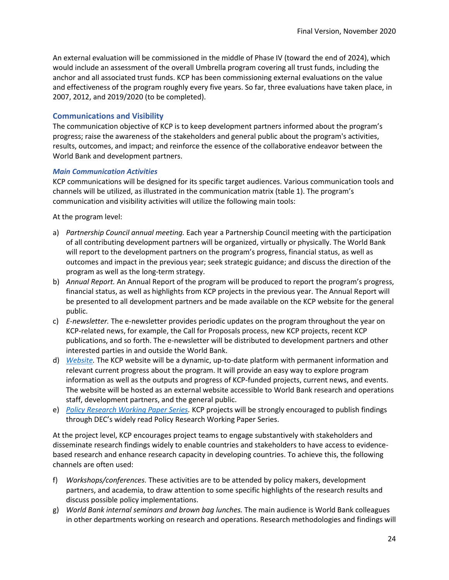An external evaluation will be commissioned in the middle of Phase IV (toward the end of 2024), which would include an assessment of the overall Umbrella program covering all trust funds, including the anchor and all associated trust funds. KCP has been commissioning external evaluations on the value and effectiveness of the program roughly every five years. So far, three evaluations have taken place, in 2007, 2012, and 2019/2020 (to be completed).

#### <span id="page-23-0"></span>**Communications and Visibility**

The communication objective of KCP is to keep development partners informed about the program's progress; raise the awareness of the stakeholders and general public about the program's activities, results, outcomes, and impact; and reinforce the essence of the collaborative endeavor between the World Bank and development partners.

#### <span id="page-23-1"></span>*Main Communication Activities*

KCP communications will be designed for its specific target audiences. Various communication tools and channels will be utilized, as illustrated in the communication matrix (table 1). The program's communication and visibility activities will utilize the following main tools:

At the program level:

- a) *Partnership Council annual meeting.* Each year a Partnership Council meeting with the participation of all contributing development partners will be organized, virtually or physically. The World Bank will report to the development partners on the program's progress, financial status, as well as outcomes and impact in the previous year; seek strategic guidance; and discuss the direction of the program as well as the long-term strategy.
- b) *Annual Report.* An Annual Report of the program will be produced to report the program's progress, financial status, as well as highlights from KCP projects in the previous year. The Annual Report will be presented to all development partners and be made available on the KCP website for the general public.
- c) *E-newsletter.* The e-newsletter provides periodic updates on the program throughout the year on KCP-related news, for example, the Call for Proposals process, new KCP projects, recent KCP publications, and so forth. The e-newsletter will be distributed to development partners and other interested parties in and outside the World Bank.
- d) *[Website.](https://www.worldbank.org/en/programs/knowledge-for-change)* The KCP website will be a dynamic, up-to-date platform with permanent information and relevant current progress about the program. It will provide an easy way to explore program information as well as the outputs and progress of KCP-funded projects, current news, and events. The website will be hosted as an external website accessible to World Bank research and operations staff, development partners, and the general public.
- e) *[Policy Research Working Paper Series.](https://www.worldbank.org/en/research/brief/world-bank-policy-research-working-papers)* KCP projects will be strongly encouraged to publish findings through DEC's widely read Policy Research Working Paper Series.

At the project level, KCP encourages project teams to engage substantively with stakeholders and disseminate research findings widely to enable countries and stakeholders to have access to evidencebased research and enhance research capacity in developing countries. To achieve this, the following channels are often used:

- f) *Workshops/conferences.* These activities are to be attended by policy makers, development partners, and academia, to draw attention to some specific highlights of the research results and discuss possible policy implementations.
- g) *World Bank internal seminars and brown bag lunches.* The main audience is World Bank colleagues in other departments working on research and operations. Research methodologies and findings will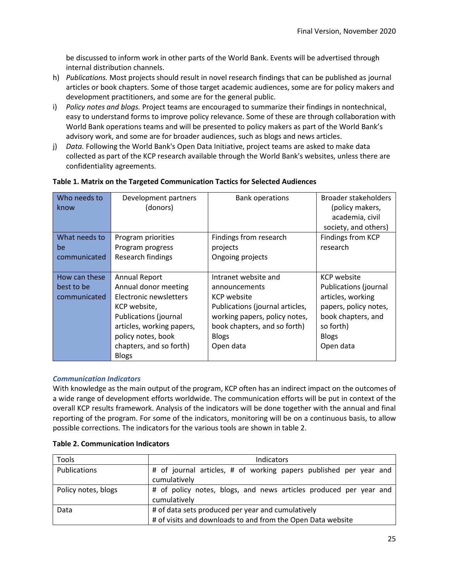be discussed to inform work in other parts of the World Bank. Events will be advertised through internal distribution channels.

- h) *Publications.* Most projects should result in novel research findings that can be published as journal articles or book chapters. Some of those target academic audiences, some are for policy makers and development practitioners, and some are for the general public.
- i) *Policy notes and blogs.* Project teams are encouraged to summarize their findings in nontechnical, easy to understand forms to improve policy relevance. Some of these are through collaboration with World Bank operations teams and will be presented to policy makers as part of the World Bank's advisory work, and some are for broader audiences, such as blogs and news articles.
- j) *Data.* Following the World Bank's Open Data Initiative, project teams are asked to make data collected as part of the KCP research available through the World Bank's websites, unless there are confidentiality agreements.

| Who needs to  | Development partners         | <b>Bank operations</b>          | Broader stakeholders  |
|---------------|------------------------------|---------------------------------|-----------------------|
| know          | (donors)                     |                                 | (policy makers,       |
|               |                              |                                 | academia, civil       |
|               |                              |                                 | society, and others)  |
| What needs to | Program priorities           | Findings from research          | Findings from KCP     |
| be            | Program progress             | projects                        | research              |
| communicated  | Research findings            | Ongoing projects                |                       |
|               |                              |                                 |                       |
| How can these | <b>Annual Report</b>         | Intranet website and            | <b>KCP</b> website    |
| best to be    | Annual donor meeting         | announcements                   | Publications (journal |
| communicated  | Electronic newsletters       | <b>KCP</b> website              | articles, working     |
|               | KCP website,                 | Publications (journal articles, | papers, policy notes, |
|               | <b>Publications (journal</b> | working papers, policy notes,   | book chapters, and    |
|               | articles, working papers,    | book chapters, and so forth)    | so forth)             |
|               | policy notes, book           | <b>Blogs</b>                    | <b>Blogs</b>          |
|               | chapters, and so forth)      | Open data                       | Open data             |
|               | <b>Blogs</b>                 |                                 |                       |

#### **Table 1. Matrix on the Targeted Communication Tactics for Selected Audiences**

#### <span id="page-24-0"></span>*Communication Indicators*

With knowledge as the main output of the program, KCP often has an indirect impact on the outcomes of a wide range of development efforts worldwide. The communication efforts will be put in context of the overall KCP results framework. Analysis of the indicators will be done together with the annual and final reporting of the program. For some of the indicators, monitoring will be on a continuous basis, to allow possible corrections. The indicators for the various tools are shown in table 2.

| Tools               | Indicators                                                                                                       |  |  |  |  |  |
|---------------------|------------------------------------------------------------------------------------------------------------------|--|--|--|--|--|
| Publications        | # of journal articles, # of working papers published per year and<br>cumulatively                                |  |  |  |  |  |
| Policy notes, blogs | # of policy notes, blogs, and news articles produced per year and<br>cumulatively                                |  |  |  |  |  |
| Data                | # of data sets produced per year and cumulatively<br># of visits and downloads to and from the Open Data website |  |  |  |  |  |

#### **Table 2. Communication Indicators**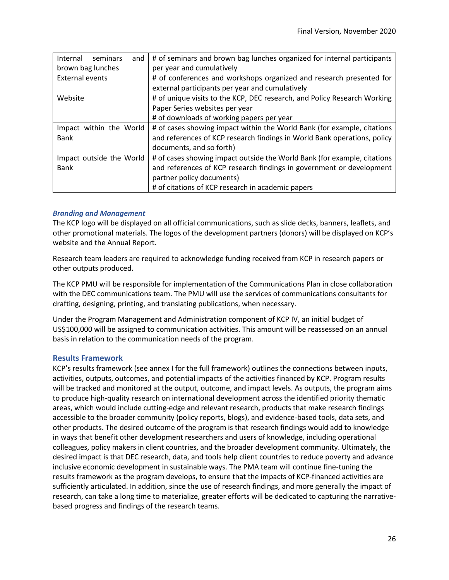| Internal<br>seminars<br>and | # of seminars and brown bag lunches organized for internal participants  |
|-----------------------------|--------------------------------------------------------------------------|
| brown bag lunches           | per year and cumulatively                                                |
| External events             | # of conferences and workshops organized and research presented for      |
|                             | external participants per year and cumulatively                          |
| Website                     | # of unique visits to the KCP, DEC research, and Policy Research Working |
|                             | Paper Series websites per year                                           |
|                             | # of downloads of working papers per year                                |
| Impact within the World     | # of cases showing impact within the World Bank (for example, citations  |
| <b>Bank</b>                 | and references of KCP research findings in World Bank operations, policy |
|                             | documents, and so forth)                                                 |
| Impact outside the World    | # of cases showing impact outside the World Bank (for example, citations |
| <b>Bank</b>                 | and references of KCP research findings in government or development     |
|                             | partner policy documents)                                                |
|                             | # of citations of KCP research in academic papers                        |

#### <span id="page-25-0"></span>*Branding and Management*

The KCP logo will be displayed on all official communications, such as slide decks, banners, leaflets, and other promotional materials. The logos of the development partners (donors) will be displayed on KCP's website and the Annual Report.

Research team leaders are required to acknowledge funding received from KCP in research papers or other outputs produced.

The KCP PMU will be responsible for implementation of the Communications Plan in close collaboration with the DEC communications team. The PMU will use the services of communications consultants for drafting, designing, printing, and translating publications, when necessary.

Under the Program Management and Administration component of KCP IV, an initial budget of US\$100,000 will be assigned to communication activities. This amount will be reassessed on an annual basis in relation to the communication needs of the program.

#### <span id="page-25-1"></span>**Results Framework**

KCP's results framework (see annex I for the full framework) outlines the connections between inputs, activities, outputs, outcomes, and potential impacts of the activities financed by KCP. Program results will be tracked and monitored at the output, outcome, and impact levels. As outputs, the program aims to produce high-quality research on international development across the identified priority thematic areas, which would include cutting-edge and relevant research, products that make research findings accessible to the broader community (policy reports, blogs), and evidence-based tools, data sets, and other products. The desired outcome of the program is that research findings would add to knowledge in ways that benefit other development researchers and users of knowledge, including operational colleagues, policy makers in client countries, and the broader development community. Ultimately, the desired impact is that DEC research, data, and tools help client countries to reduce poverty and advance inclusive economic development in sustainable ways. The PMA team will continue fine-tuning the results framework as the program develops, to ensure that the impacts of KCP-financed activities are sufficiently articulated. In addition, since the use of research findings, and more generally the impact of research, can take a long time to materialize, greater efforts will be dedicated to capturing the narrativebased progress and findings of the research teams.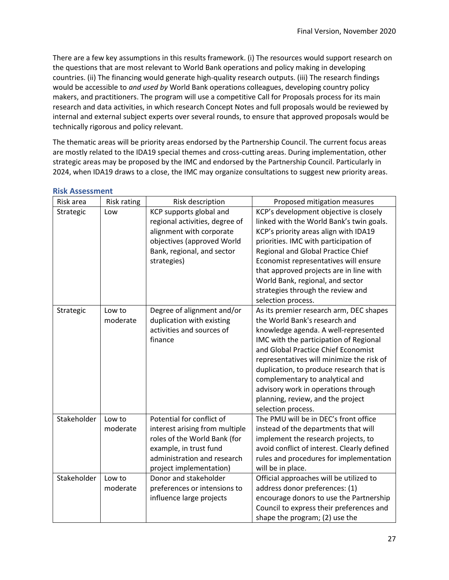There are a few key assumptions in this results framework. (i) The resources would support research on the questions that are most relevant to World Bank operations and policy making in developing countries. (ii) The financing would generate high-quality research outputs. (iii) The research findings would be accessible to *and used by* World Bank operations colleagues, developing country policy makers, and practitioners. The program will use a competitive Call for Proposals process for its main research and data activities, in which research Concept Notes and full proposals would be reviewed by internal and external subject experts over several rounds, to ensure that approved proposals would be technically rigorous and policy relevant.

The thematic areas will be priority areas endorsed by the Partnership Council. The current focus areas are mostly related to the IDA19 special themes and cross-cutting areas. During implementation, other strategic areas may be proposed by the IMC and endorsed by the Partnership Council. Particularly in 2024, when IDA19 draws to a close, the IMC may organize consultations to suggest new priority areas.

| Risk area   | <b>Risk rating</b> | Risk description                                                                                                                                                                | Proposed mitigation measures                                                                                                                                                                                                                                                                                                                                                                                                    |
|-------------|--------------------|---------------------------------------------------------------------------------------------------------------------------------------------------------------------------------|---------------------------------------------------------------------------------------------------------------------------------------------------------------------------------------------------------------------------------------------------------------------------------------------------------------------------------------------------------------------------------------------------------------------------------|
| Strategic   | Low                | KCP supports global and<br>regional activities, degree of<br>alignment with corporate<br>objectives (approved World<br>Bank, regional, and sector<br>strategies)                | KCP's development objective is closely<br>linked with the World Bank's twin goals.<br>KCP's priority areas align with IDA19<br>priorities. IMC with participation of<br>Regional and Global Practice Chief<br>Economist representatives will ensure<br>that approved projects are in line with<br>World Bank, regional, and sector<br>strategies through the review and<br>selection process.                                   |
| Strategic   | Low to<br>moderate | Degree of alignment and/or<br>duplication with existing<br>activities and sources of<br>finance                                                                                 | As its premier research arm, DEC shapes<br>the World Bank's research and<br>knowledge agenda. A well-represented<br>IMC with the participation of Regional<br>and Global Practice Chief Economist<br>representatives will minimize the risk of<br>duplication, to produce research that is<br>complementary to analytical and<br>advisory work in operations through<br>planning, review, and the project<br>selection process. |
| Stakeholder | Low to<br>moderate | Potential for conflict of<br>interest arising from multiple<br>roles of the World Bank (for<br>example, in trust fund<br>administration and research<br>project implementation) | The PMU will be in DEC's front office<br>instead of the departments that will<br>implement the research projects, to<br>avoid conflict of interest. Clearly defined<br>rules and procedures for implementation<br>will be in place.                                                                                                                                                                                             |
| Stakeholder | Low to<br>moderate | Donor and stakeholder<br>preferences or intensions to<br>influence large projects                                                                                               | Official approaches will be utilized to<br>address donor preferences: (1)<br>encourage donors to use the Partnership<br>Council to express their preferences and<br>shape the program; (2) use the                                                                                                                                                                                                                              |

#### <span id="page-26-0"></span>**Risk Assessment**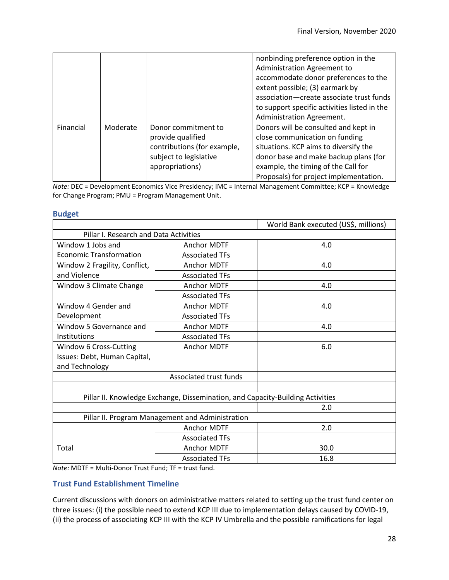|           |          |                                                                                                                      | nonbinding preference option in the<br>Administration Agreement to<br>accommodate donor preferences to the<br>extent possible; (3) earmark by<br>association-create associate trust funds<br>to support specific activities listed in the<br>Administration Agreement. |
|-----------|----------|----------------------------------------------------------------------------------------------------------------------|------------------------------------------------------------------------------------------------------------------------------------------------------------------------------------------------------------------------------------------------------------------------|
| Financial | Moderate | Donor commitment to<br>provide qualified<br>contributions (for example,<br>subject to legislative<br>appropriations) | Donors will be consulted and kept in<br>close communication on funding<br>situations. KCP aims to diversify the<br>donor base and make backup plans (for<br>example, the timing of the Call for<br>Proposals) for project implementation.                              |

*Note:* DEC = Development Economics Vice Presidency; IMC = Internal Management Committee; KCP = Knowledge for Change Program; PMU = Program Management Unit.

#### <span id="page-27-0"></span>**Budget**

|                                        |                                                                                | World Bank executed (US\$, millions) |
|----------------------------------------|--------------------------------------------------------------------------------|--------------------------------------|
| Pillar I. Research and Data Activities |                                                                                |                                      |
| Window 1 Jobs and                      | <b>Anchor MDTF</b>                                                             | 4.0                                  |
| <b>Economic Transformation</b>         | <b>Associated TFs</b>                                                          |                                      |
| Window 2 Fragility, Conflict,          | <b>Anchor MDTF</b>                                                             | 4.0                                  |
| and Violence                           | <b>Associated TFs</b>                                                          |                                      |
| Window 3 Climate Change                | <b>Anchor MDTF</b>                                                             | 4.0                                  |
|                                        | <b>Associated TFs</b>                                                          |                                      |
| Window 4 Gender and                    | <b>Anchor MDTF</b>                                                             | 4.0                                  |
| Development                            | <b>Associated TFs</b>                                                          |                                      |
| Window 5 Governance and                | Anchor MDTF                                                                    | 4.0                                  |
| Institutions                           | <b>Associated TFs</b>                                                          |                                      |
| Window 6 Cross-Cutting                 | <b>Anchor MDTF</b>                                                             | 6.0                                  |
| Issues: Debt, Human Capital,           |                                                                                |                                      |
| and Technology                         |                                                                                |                                      |
|                                        | Associated trust funds                                                         |                                      |
|                                        |                                                                                |                                      |
|                                        | Pillar II. Knowledge Exchange, Dissemination, and Capacity-Building Activities |                                      |
|                                        |                                                                                | 2.0                                  |
|                                        | Pillar II. Program Management and Administration                               |                                      |
|                                        | <b>Anchor MDTF</b>                                                             | 2.0                                  |
|                                        | <b>Associated TFs</b>                                                          |                                      |
| Total                                  | Anchor MDTF                                                                    | 30.0                                 |
|                                        | <b>Associated TFs</b>                                                          | 16.8                                 |

*Note:* MDTF = Multi-Donor Trust Fund; TF = trust fund.

#### **Trust Fund Establishment Timeline**

Current discussions with donors on administrative matters related to setting up the trust fund center on three issues: (i) the possible need to extend KCP III due to implementation delays caused by COVID-19, (ii) the process of associating KCP III with the KCP IV Umbrella and the possible ramifications for legal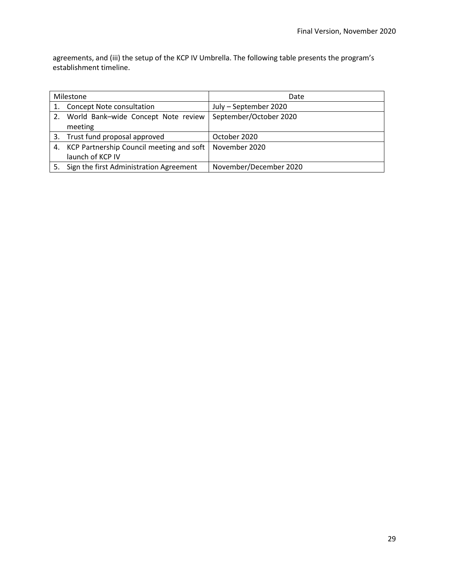agreements, and (iii) the setup of the KCP IV Umbrella. The following table presents the program's establishment timeline.

| Milestone                    |                                             | Date                   |  |  |
|------------------------------|---------------------------------------------|------------------------|--|--|
| 1. Concept Note consultation |                                             | July - September 2020  |  |  |
|                              | 2. World Bank-wide Concept Note review      | September/October 2020 |  |  |
|                              | meeting                                     |                        |  |  |
| 3.                           | Trust fund proposal approved                | October 2020           |  |  |
|                              | 4. KCP Partnership Council meeting and soft | November 2020          |  |  |
|                              | launch of KCP IV                            |                        |  |  |
|                              | 5. Sign the first Administration Agreement  | November/December 2020 |  |  |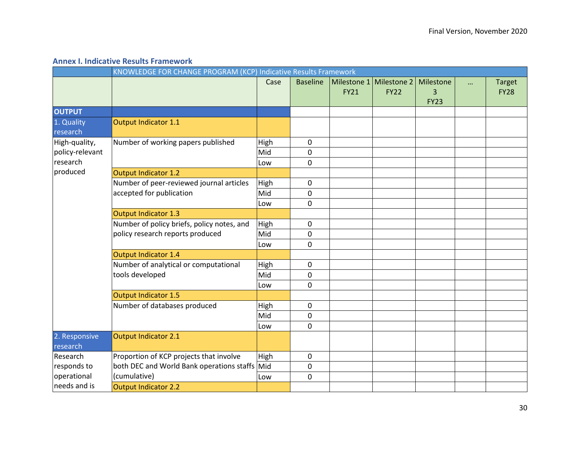#### **Annex I. Indicative Results Framework**

<span id="page-29-0"></span>

|                           | KNOWLEDGE FOR CHANGE PROGRAM (KCP) Indicative Results Framework |      |                 |                            |                            |                               |  |                              |
|---------------------------|-----------------------------------------------------------------|------|-----------------|----------------------------|----------------------------|-------------------------------|--|------------------------------|
|                           |                                                                 | Case | <b>Baseline</b> | Milestone 1<br><b>FY21</b> | Milestone 2<br><b>FY22</b> | Milestone<br>3<br><b>FY23</b> |  | <b>Target</b><br><b>FY28</b> |
| <b>OUTPUT</b>             |                                                                 |      |                 |                            |                            |                               |  |                              |
| 1. Quality<br>research    | <b>Output Indicator 1.1</b>                                     |      |                 |                            |                            |                               |  |                              |
| High-quality,             | Number of working papers published                              | High | 0               |                            |                            |                               |  |                              |
| policy-relevant           |                                                                 | Mid  | 0               |                            |                            |                               |  |                              |
| research                  |                                                                 | Low  | 0               |                            |                            |                               |  |                              |
| produced                  | Output Indicator 1.2                                            |      |                 |                            |                            |                               |  |                              |
|                           | Number of peer-reviewed journal articles                        | High | $\pmb{0}$       |                            |                            |                               |  |                              |
|                           | accepted for publication                                        | Mid  | 0               |                            |                            |                               |  |                              |
|                           |                                                                 | Low  | 0               |                            |                            |                               |  |                              |
|                           | Output Indicator 1.3                                            |      |                 |                            |                            |                               |  |                              |
|                           | Number of policy briefs, policy notes, and                      | High | 0               |                            |                            |                               |  |                              |
|                           | policy research reports produced                                | Mid  | 0               |                            |                            |                               |  |                              |
|                           |                                                                 | Low  | 0               |                            |                            |                               |  |                              |
|                           | Output Indicator 1.4                                            |      |                 |                            |                            |                               |  |                              |
|                           | Number of analytical or computational                           | High | 0               |                            |                            |                               |  |                              |
|                           | tools developed                                                 | Mid  | 0               |                            |                            |                               |  |                              |
|                           |                                                                 | Low  | 0               |                            |                            |                               |  |                              |
|                           | Output Indicator 1.5                                            |      |                 |                            |                            |                               |  |                              |
|                           | Number of databases produced                                    | High | 0               |                            |                            |                               |  |                              |
|                           |                                                                 | Mid  | 0               |                            |                            |                               |  |                              |
|                           |                                                                 | Low  | 0               |                            |                            |                               |  |                              |
| 2. Responsive<br>research | Output Indicator 2.1                                            |      |                 |                            |                            |                               |  |                              |
| Research                  | Proportion of KCP projects that involve                         | High | 0               |                            |                            |                               |  |                              |
| responds to               | both DEC and World Bank operations staffs Mid                   |      | 0               |                            |                            |                               |  |                              |
| operational               | (cumulative)                                                    | Low  | 0               |                            |                            |                               |  |                              |
| needs and is              | Output Indicator 2.2                                            |      |                 |                            |                            |                               |  |                              |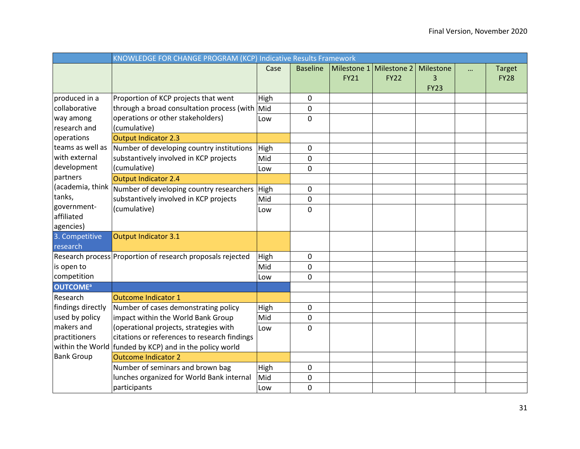|                            | KNOWLEDGE FOR CHANGE PROGRAM (KCP) Indicative Results Framework            |             |                 |                            |                            |                               |  |                              |
|----------------------------|----------------------------------------------------------------------------|-------------|-----------------|----------------------------|----------------------------|-------------------------------|--|------------------------------|
|                            |                                                                            | Case        | <b>Baseline</b> | Milestone 1<br><b>FY21</b> | Milestone 2<br><b>FY22</b> | Milestone<br>3<br><b>FY23</b> |  | <b>Target</b><br><b>FY28</b> |
| produced in a              | Proportion of KCP projects that went                                       | High        | 0               |                            |                            |                               |  |                              |
| collaborative              | through a broad consultation process (with                                 | Mid         | 0               |                            |                            |                               |  |                              |
| way among                  | operations or other stakeholders)                                          | Low         | 0               |                            |                            |                               |  |                              |
| research and               | (cumulative)                                                               |             |                 |                            |                            |                               |  |                              |
| operations                 | Output Indicator 2.3                                                       |             |                 |                            |                            |                               |  |                              |
| teams as well as           | Number of developing country institutions                                  | High        | 0               |                            |                            |                               |  |                              |
| with external              | substantively involved in KCP projects                                     | Mid         | 0               |                            |                            |                               |  |                              |
| development                | (cumulative)                                                               | Low         | 0               |                            |                            |                               |  |                              |
| partners                   | Output Indicator 2.4                                                       |             |                 |                            |                            |                               |  |                              |
| (academia, think           | Number of developing country researchers                                   | High        | 0               |                            |                            |                               |  |                              |
| tanks,                     | substantively involved in KCP projects                                     | Mid         | 0               |                            |                            |                               |  |                              |
| government-                | (cumulative)                                                               | Low         | 0               |                            |                            |                               |  |                              |
| affiliated                 |                                                                            |             |                 |                            |                            |                               |  |                              |
| agencies)                  |                                                                            |             |                 |                            |                            |                               |  |                              |
| 3. Competitive<br>research | Output Indicator 3.1                                                       |             |                 |                            |                            |                               |  |                              |
|                            | Research process Proportion of research proposals rejected                 |             | 0               |                            |                            |                               |  |                              |
| is open to                 |                                                                            | High<br>Mid |                 |                            |                            |                               |  |                              |
| competition                |                                                                            |             | 0               |                            |                            |                               |  |                              |
| <b>OUTCOME<sup>a</sup></b> |                                                                            | Low         | 0               |                            |                            |                               |  |                              |
| Research                   | Outcome Indicator 1                                                        |             |                 |                            |                            |                               |  |                              |
| findings directly          |                                                                            |             |                 |                            |                            |                               |  |                              |
| used by policy             | Number of cases demonstrating policy<br>impact within the World Bank Group | High        | 0               |                            |                            |                               |  |                              |
| makers and                 | (operational projects, strategies with                                     | Mid         | 0<br>$\Omega$   |                            |                            |                               |  |                              |
| practitioners              | citations or references to research findings                               | Low         |                 |                            |                            |                               |  |                              |
|                            | within the World funded by KCP) and in the policy world                    |             |                 |                            |                            |                               |  |                              |
| <b>Bank Group</b>          | <b>Outcome Indicator 2</b>                                                 |             |                 |                            |                            |                               |  |                              |
|                            | Number of seminars and brown bag                                           | High        | 0               |                            |                            |                               |  |                              |
|                            | lunches organized for World Bank internal                                  | Mid         | 0               |                            |                            |                               |  |                              |
|                            | participants                                                               | Low         | 0               |                            |                            |                               |  |                              |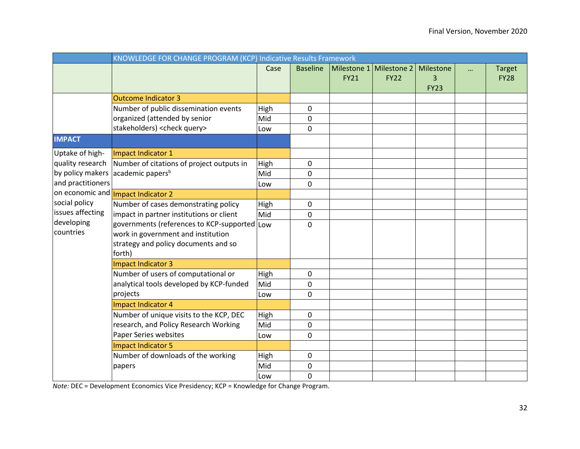|                                                                                                                                                                                                                        | KNOWLEDGE FOR CHANGE PROGRAM (KCP) Indicative Results Framework                                                                      |      |                 |                            |                            |                               |          |                              |
|------------------------------------------------------------------------------------------------------------------------------------------------------------------------------------------------------------------------|--------------------------------------------------------------------------------------------------------------------------------------|------|-----------------|----------------------------|----------------------------|-------------------------------|----------|------------------------------|
|                                                                                                                                                                                                                        |                                                                                                                                      | Case | <b>Baseline</b> | Milestone 1<br><b>FY21</b> | Milestone 2<br><b>FY22</b> | Milestone<br>3<br><b>FY23</b> | $\cdots$ | <b>Target</b><br><b>FY28</b> |
|                                                                                                                                                                                                                        | <b>Outcome Indicator 3</b>                                                                                                           |      |                 |                            |                            |                               |          |                              |
|                                                                                                                                                                                                                        | Number of public dissemination events                                                                                                | High | 0               |                            |                            |                               |          |                              |
|                                                                                                                                                                                                                        | organized (attended by senior                                                                                                        | Mid  | 0               |                            |                            |                               |          |                              |
|                                                                                                                                                                                                                        | stakeholders) <check query=""></check>                                                                                               | Low  | 0               |                            |                            |                               |          |                              |
| <b>IMPACT</b>                                                                                                                                                                                                          |                                                                                                                                      |      |                 |                            |                            |                               |          |                              |
| Uptake of high-<br>quality research<br>by policy makers academic papers <sup>b</sup><br>and practitioners<br>on economic and <b>Impact Indicator 2</b><br>social policy<br>issues affecting<br>developing<br>countries | Impact Indicator 1                                                                                                                   |      |                 |                            |                            |                               |          |                              |
|                                                                                                                                                                                                                        | Number of citations of project outputs in                                                                                            | High | 0               |                            |                            |                               |          |                              |
|                                                                                                                                                                                                                        |                                                                                                                                      | Mid  | 0               |                            |                            |                               |          |                              |
|                                                                                                                                                                                                                        |                                                                                                                                      | Low  | 0               |                            |                            |                               |          |                              |
|                                                                                                                                                                                                                        |                                                                                                                                      |      |                 |                            |                            |                               |          |                              |
|                                                                                                                                                                                                                        | Number of cases demonstrating policy                                                                                                 | High | 0               |                            |                            |                               |          |                              |
|                                                                                                                                                                                                                        | impact in partner institutions or client                                                                                             | Mid  | 0               |                            |                            |                               |          |                              |
|                                                                                                                                                                                                                        | governments (references to KCP-supported Low<br>work in government and institution<br>strategy and policy documents and so<br>forth) |      | $\overline{0}$  |                            |                            |                               |          |                              |
|                                                                                                                                                                                                                        | Impact Indicator 3                                                                                                                   |      |                 |                            |                            |                               |          |                              |
|                                                                                                                                                                                                                        | Number of users of computational or                                                                                                  | High | 0               |                            |                            |                               |          |                              |
|                                                                                                                                                                                                                        | analytical tools developed by KCP-funded                                                                                             | Mid  | 0               |                            |                            |                               |          |                              |
|                                                                                                                                                                                                                        | projects                                                                                                                             | Low  | 0               |                            |                            |                               |          |                              |
|                                                                                                                                                                                                                        | Impact Indicator 4                                                                                                                   |      |                 |                            |                            |                               |          |                              |
|                                                                                                                                                                                                                        | Number of unique visits to the KCP, DEC                                                                                              | High | 0               |                            |                            |                               |          |                              |
|                                                                                                                                                                                                                        | research, and Policy Research Working                                                                                                | Mid  | 0               |                            |                            |                               |          |                              |
|                                                                                                                                                                                                                        | Paper Series websites                                                                                                                | Low  | 0               |                            |                            |                               |          |                              |
|                                                                                                                                                                                                                        | Impact Indicator 5                                                                                                                   |      |                 |                            |                            |                               |          |                              |
|                                                                                                                                                                                                                        | Number of downloads of the working                                                                                                   | High | 0               |                            |                            |                               |          |                              |
|                                                                                                                                                                                                                        | papers                                                                                                                               | Mid  | 0               |                            |                            |                               |          |                              |
|                                                                                                                                                                                                                        |                                                                                                                                      | Low  | 0               |                            |                            |                               |          |                              |

*Note:* DEC = Development Economics Vice Presidency; KCP = Knowledge for Change Program.